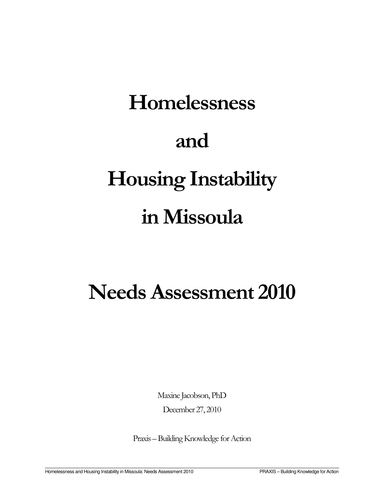# Homelessness and Housing Instability in Missoula

# Needs Assessment 2010

Maxine Jacobson, PhD December 27, 2010

Praxis – Building Knowledge for Action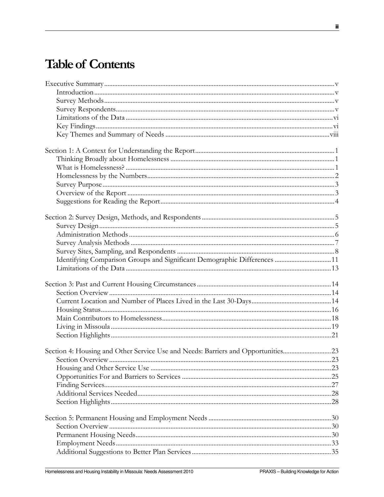# **Table of Contents**

| Identifying Comparison Groups and Significant Demographic Differences 11         |     |
|----------------------------------------------------------------------------------|-----|
|                                                                                  |     |
|                                                                                  |     |
|                                                                                  |     |
|                                                                                  |     |
|                                                                                  |     |
|                                                                                  |     |
|                                                                                  |     |
|                                                                                  |     |
| Section 4: Housing and Other Service Use and Needs: Barriers and Opportunities23 |     |
|                                                                                  | .23 |
|                                                                                  |     |
|                                                                                  |     |
|                                                                                  |     |
|                                                                                  |     |
|                                                                                  |     |
|                                                                                  |     |
|                                                                                  |     |
|                                                                                  |     |
|                                                                                  |     |
|                                                                                  |     |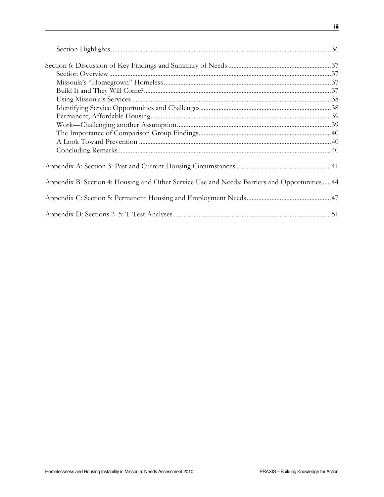| Appendix B: Section 4: Housing and Other Service Use and Needs: Barriers and Opportunities44 |  |
|----------------------------------------------------------------------------------------------|--|
|                                                                                              |  |
|                                                                                              |  |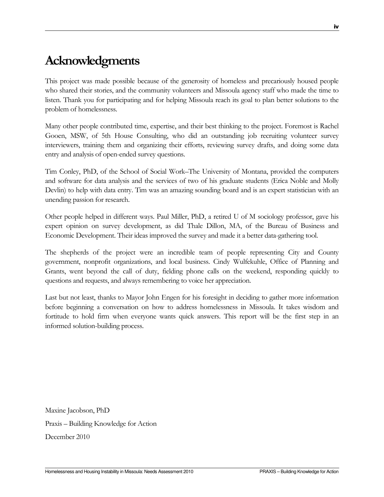# Acknowledgments

This project was made possible because of the generosity of homeless and precariously housed people who shared their stories, and the community volunteers and Missoula agency staff who made the time to listen. Thank you for participating and for helping Missoula reach its goal to plan better solutions to the problem of homelessness.

Many other people contributed time, expertise, and their best thinking to the project. Foremost is Rachel Gooen, MSW, of 5th House Consulting, who did an outstanding job recruiting volunteer survey interviewers, training them and organizing their efforts, reviewing survey drafts, and doing some data entry and analysis of open-ended survey questions.

Tim Conley, PhD, of the School of Social Work–The University of Montana, provided the computers and software for data analysis and the services of two of his graduate students (Erica Noble and Molly Devlin) to help with data entry. Tim was an amazing sounding board and is an expert statistician with an unending passion for research.

Other people helped in different ways. Paul Miller, PhD, a retired U of M sociology professor, gave his expert opinion on survey development, as did Thale Dillon, MA, of the Bureau of Business and Economic Development. Their ideas improved the survey and made it a better data-gathering tool.

The shepherds of the project were an incredible team of people representing City and County government, nonprofit organizations, and local business. Cindy Wulfekuhle, Office of Planning and Grants, went beyond the call of duty, fielding phone calls on the weekend, responding quickly to questions and requests, and always remembering to voice her appreciation.

Last but not least, thanks to Mayor John Engen for his foresight in deciding to gather more information before beginning a conversation on how to address homelessness in Missoula. It takes wisdom and fortitude to hold firm when everyone wants quick answers. This report will be the first step in an informed solution-building process.

Maxine Jacobson, PhD Praxis – Building Knowledge for Action December 2010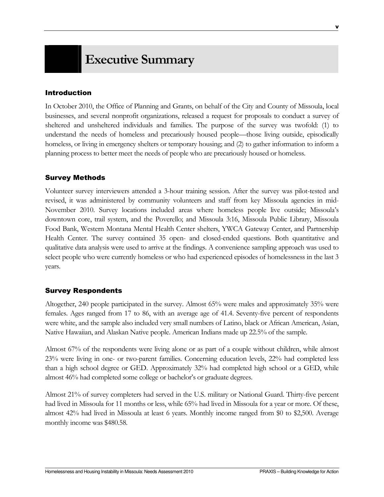# Introduction

In October 2010, the Office of Planning and Grants, on behalf of the City and County of Missoula, local businesses, and several nonprofit organizations, released a request for proposals to conduct a survey of sheltered and unsheltered individuals and families. The purpose of the survey was twofold: (1) to understand the needs of homeless and precariously housed people—those living outside, episodically homeless, or living in emergency shelters or temporary housing; and (2) to gather information to inform a planning process to better meet the needs of people who are precariously housed or homeless.

# Survey Methods

Volunteer survey interviewers attended a 3-hour training session. After the survey was pilot-tested and revised, it was administered by community volunteers and staff from key Missoula agencies in mid-November 2010. Survey locations included areas where homeless people live outside; Missoula's downtown core, trail system, and the Poverello; and Missoula 3:16, Missoula Public Library, Missoula Food Bank, Western Montana Mental Health Center shelters, YWCA Gateway Center, and Partnership Health Center. The survey contained 35 open- and closed-ended questions. Both quantitative and qualitative data analysis were used to arrive at the findings. A convenience sampling approach was used to select people who were currently homeless or who had experienced episodes of homelessness in the last 3 years.

# Survey Respondents

Altogether, 240 people participated in the survey. Almost 65% were males and approximately 35% were females. Ages ranged from 17 to 86, with an average age of 41.4. Seventy-five percent of respondents were white, and the sample also included very small numbers of Latino, black or African American, Asian, Native Hawaiian, and Alaskan Native people. American Indians made up 22.5% of the sample.

Almost 67% of the respondents were living alone or as part of a couple without children, while almost 23% were living in one- or two-parent families. Concerning education levels, 22% had completed less than a high school degree or GED. Approximately 32% had completed high school or a GED, while almost 46% had completed some college or bachelor's or graduate degrees.

Almost 21% of survey completers had served in the U.S. military or National Guard. Thirty-five percent had lived in Missoula for 11 months or less, while 65% had lived in Missoula for a year or more. Of these, almost 42% had lived in Missoula at least 6 years. Monthly income ranged from \$0 to \$2,500. Average monthly income was \$480.58.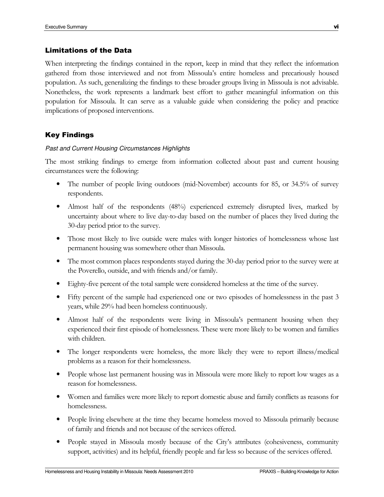## Limitations of the Data

When interpreting the findings contained in the report, keep in mind that they reflect the information gathered from those interviewed and not from Missoula's entire homeless and precariously housed population. As such, generalizing the findings to these broader groups living in Missoula is not advisable. Nonetheless, the work represents a landmark best effort to gather meaningful information on this population for Missoula. It can serve as a valuable guide when considering the policy and practice implications of proposed interventions.

# Key Findings

#### Past and Current Housing Circumstances Highlights

The most striking findings to emerge from information collected about past and current housing circumstances were the following:

- The number of people living outdoors (mid-November) accounts for 85, or 34.5% of survey respondents.
- Almost half of the respondents (48%) experienced extremely disrupted lives, marked by uncertainty about where to live day-to-day based on the number of places they lived during the 30-day period prior to the survey.
- Those most likely to live outside were males with longer histories of homelessness whose last permanent housing was somewhere other than Missoula.
- The most common places respondents stayed during the 30-day period prior to the survey were at the Poverello, outside, and with friends and/or family.
- Eighty-five percent of the total sample were considered homeless at the time of the survey.
- Fifty percent of the sample had experienced one or two episodes of homelessness in the past 3 years, while 29% had been homeless continuously.
- Almost half of the respondents were living in Missoula's permanent housing when they experienced their first episode of homelessness. These were more likely to be women and families with children.
- The longer respondents were homeless, the more likely they were to report illness/medical problems as a reason for their homelessness.
- People whose last permanent housing was in Missoula were more likely to report low wages as a reason for homelessness.
- Women and families were more likely to report domestic abuse and family conflicts as reasons for homelessness.
- People living elsewhere at the time they became homeless moved to Missoula primarily because of family and friends and not because of the services offered.
- People stayed in Missoula mostly because of the City's attributes (cohesiveness, community support, activities) and its helpful, friendly people and far less so because of the services offered.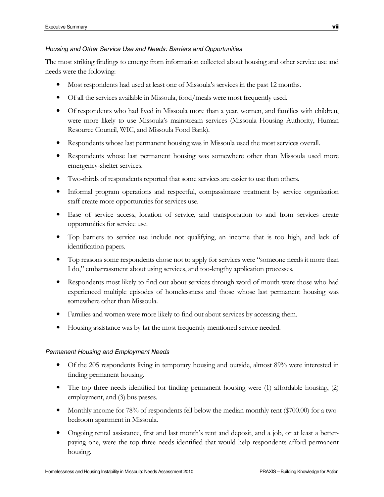#### Housing and Other Service Use and Needs: Barriers and Opportunities

The most striking findings to emerge from information collected about housing and other service use and needs were the following:

- Most respondents had used at least one of Missoula's services in the past 12 months.
- Of all the services available in Missoula, food/meals were most frequently used.
- Of respondents who had lived in Missoula more than a year, women, and families with children, were more likely to use Missoula's mainstream services (Missoula Housing Authority, Human Resource Council, WIC, and Missoula Food Bank).
- Respondents whose last permanent housing was in Missoula used the most services overall.
- Respondents whose last permanent housing was somewhere other than Missoula used more emergency-shelter services.
- Two-thirds of respondents reported that some services are easier to use than others.
- Informal program operations and respectful, compassionate treatment by service organization staff create more opportunities for services use.
- Ease of service access, location of service, and transportation to and from services create opportunities for service use.
- Top barriers to service use include not qualifying, an income that is too high, and lack of identification papers.
- Top reasons some respondents chose not to apply for services were "someone needs it more than I do," embarrassment about using services, and too-lengthy application processes.
- Respondents most likely to find out about services through word of mouth were those who had experienced multiple episodes of homelessness and those whose last permanent housing was somewhere other than Missoula.
- Families and women were more likely to find out about services by accessing them.
- Housing assistance was by far the most frequently mentioned service needed.

#### Permanent Housing and Employment Needs

- Of the 205 respondents living in temporary housing and outside, almost 89% were interested in finding permanent housing.
- The top three needs identified for finding permanent housing were (1) affordable housing, (2) employment, and (3) bus passes.
- Monthly income for 78% of respondents fell below the median monthly rent (\$700.00) for a twobedroom apartment in Missoula.
- Ongoing rental assistance, first and last month's rent and deposit, and a job, or at least a betterpaying one, were the top three needs identified that would help respondents afford permanent housing.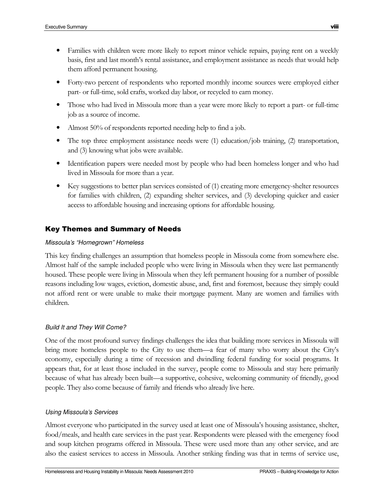- Families with children were more likely to report minor vehicle repairs, paying rent on a weekly basis, first and last month's rental assistance, and employment assistance as needs that would help them afford permanent housing.
- Forty-two percent of respondents who reported monthly income sources were employed either part- or full-time, sold crafts, worked day labor, or recycled to earn money.
- Those who had lived in Missoula more than a year were more likely to report a part- or full-time job as a source of income.
- Almost 50% of respondents reported needing help to find a job.
- The top three employment assistance needs were (1) education/job training, (2) transportation, and (3) knowing what jobs were available.
- Identification papers were needed most by people who had been homeless longer and who had lived in Missoula for more than a year.
- Key suggestions to better plan services consisted of (1) creating more emergency-shelter resources for families with children, (2) expanding shelter services, and (3) developing quicker and easier access to affordable housing and increasing options for affordable housing.

# Key Themes and Summary of Needs

## Missoula's "Homegrown" Homeless

This key finding challenges an assumption that homeless people in Missoula come from somewhere else. Almost half of the sample included people who were living in Missoula when they were last permanently housed. These people were living in Missoula when they left permanent housing for a number of possible reasons including low wages, eviction, domestic abuse, and, first and foremost, because they simply could not afford rent or were unable to make their mortgage payment. Many are women and families with children.

#### Build It and They Will Come?

One of the most profound survey findings challenges the idea that building more services in Missoula will bring more homeless people to the City to use them—a fear of many who worry about the City's economy, especially during a time of recession and dwindling federal funding for social programs. It appears that, for at least those included in the survey, people come to Missoula and stay here primarily because of what has already been built—a supportive, cohesive, welcoming community of friendly, good people. They also come because of family and friends who already live here.

#### Using Missoula's Services

Almost everyone who participated in the survey used at least one of Missoula's housing assistance, shelter, food/meals, and health care services in the past year. Respondents were pleased with the emergency food and soup kitchen programs offered in Missoula. These were used more than any other service, and are also the easiest services to access in Missoula. Another striking finding was that in terms of service use,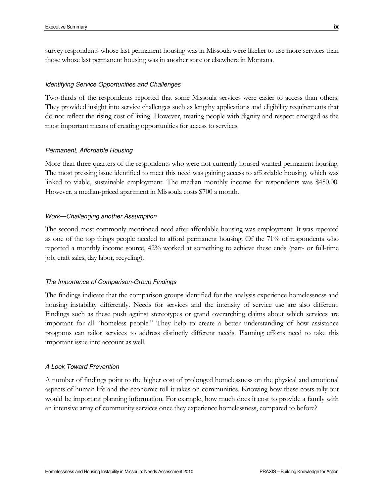survey respondents whose last permanent housing was in Missoula were likelier to use more services than those whose last permanent housing was in another state or elsewhere in Montana.

#### Identifying Service Opportunities and Challenges

Two-thirds of the respondents reported that some Missoula services were easier to access than others. They provided insight into service challenges such as lengthy applications and eligibility requirements that do not reflect the rising cost of living. However, treating people with dignity and respect emerged as the most important means of creating opportunities for access to services.

#### Permanent, Affordable Housing

More than three-quarters of the respondents who were not currently housed wanted permanent housing. The most pressing issue identified to meet this need was gaining access to affordable housing, which was linked to viable, sustainable employment. The median monthly income for respondents was \$450.00. However, a median-priced apartment in Missoula costs \$700 a month.

#### Work—Challenging another Assumption

The second most commonly mentioned need after affordable housing was employment. It was repeated as one of the top things people needed to afford permanent housing. Of the 71% of respondents who reported a monthly income source, 42% worked at something to achieve these ends (part- or full-time job, craft sales, day labor, recycling).

#### The Importance of Comparison-Group Findings

The findings indicate that the comparison groups identified for the analysis experience homelessness and housing instability differently. Needs for services and the intensity of service use are also different. Findings such as these push against stereotypes or grand overarching claims about which services are important for all "homeless people." They help to create a better understanding of how assistance programs can tailor services to address distinctly different needs. Planning efforts need to take this important issue into account as well.

#### A Look Toward Prevention

A number of findings point to the higher cost of prolonged homelessness on the physical and emotional aspects of human life and the economic toll it takes on communities. Knowing how these costs tally out would be important planning information. For example, how much does it cost to provide a family with an intensive array of community services once they experience homelessness, compared to before?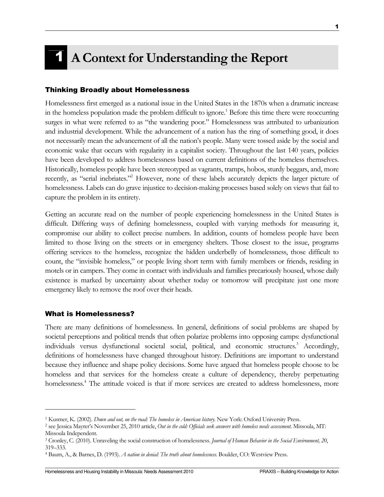# 1 A Context for Understanding the Report

#### Thinking Broadly about Homelessness

Homelessness first emerged as a national issue in the United States in the 1870s when a dramatic increase in the homeless population made the problem difficult to ignore.<sup>1</sup> Before this time there were reoccurring surges in what were referred to as "the wandering poor." Homelessness was attributed to urbanization and industrial development. While the advancement of a nation has the ring of something good, it does not necessarily mean the advancement of all the nation's people. Many were tossed aside by the social and economic wake that occurs with regularity in a capitalist society. Throughout the last 140 years, policies have been developed to address homelessness based on current definitions of the homeless themselves. Historically, homeless people have been stereotyped as vagrants, tramps, hobos, sturdy beggars, and, more recently, as "serial inebriates."<sup>2</sup> However, none of these labels accurately depicts the larger picture of homelessness. Labels can do grave injustice to decision-making processes based solely on views that fail to capture the problem in its entirety.

Getting an accurate read on the number of people experiencing homelessness in the United States is difficult. Differing ways of defining homelessness, coupled with varying methods for measuring it, compromise our ability to collect precise numbers. In addition, counts of homeless people have been limited to those living on the streets or in emergency shelters. Those closest to the issue, programs offering services to the homeless, recognize the hidden underbelly of homelessness, those difficult to count, the "invisible homeless," or people living short term with family members or friends, residing in motels or in campers. They come in contact with individuals and families precariously housed, whose daily existence is marked by uncertainty about whether today or tomorrow will precipitate just one more emergency likely to remove the roof over their heads.

#### What is Homelessness?

 $\overline{a}$ 

There are many definitions of homelessness. In general, definitions of social problems are shaped by societal perceptions and political trends that often polarize problems into opposing camps: dysfunctional individuals versus dysfunctional societal social, political, and economic structures.<sup>3</sup> Accordingly, definitions of homelessness have changed throughout history. Definitions are important to understand because they influence and shape policy decisions. Some have argued that homeless people choose to be homeless and that services for the homeless create a culture of dependency, thereby perpetuating homelessness.<sup>4</sup> The attitude voiced is that if more services are created to address homelessness, more

<sup>&</sup>lt;sup>1</sup> Kusmer, K. (2002). Down and out, on the road: The homeless in American history. New York: Oxford University Press.

<sup>&</sup>lt;sup>2</sup> see Jessica Mayrer's November 25, 2010 article, Out in the cold: Officials seek answers with homeless needs assessment. Missoula, MT: Missoula Independent.

<sup>&</sup>lt;sup>3</sup> Cronley, C. (2010). Unraveling the social construction of homelessness. Journal of Human Behavior in the Social Emvironment, 20, 319–333.

<sup>4</sup> Baum, A., & Barnes, D. (1993). A nation in denial: The truth about homelessness. Boulder, CO: Westview Press.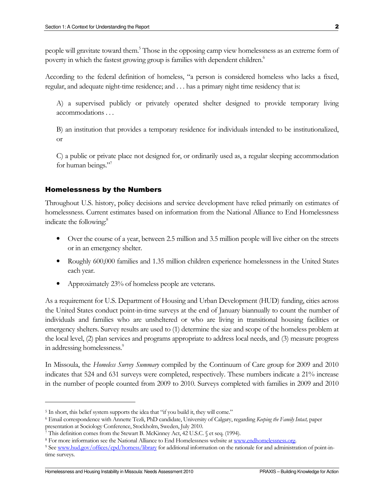people will gravitate toward them.<sup>5</sup> Those in the opposing camp view homelessness as an extreme form of poverty in which the fastest growing group is families with dependent children.<sup>6</sup>

According to the federal definition of homeless, "a person is considered homeless who lacks a fixed, regular, and adequate night-time residence; and . . . has a primary night time residency that is:

A) a supervised publicly or privately operated shelter designed to provide temporary living accommodations . . .

B) an institution that provides a temporary residence for individuals intended to be institutionalized, or

C) a public or private place not designed for, or ordinarily used as, a regular sleeping accommodation for human beings."

#### Homelessness by the Numbers

Throughout U.S. history, policy decisions and service development have relied primarily on estimates of homelessness. Current estimates based on information from the National Alliance to End Homelessness indicate the following:<sup>8</sup>

- Over the course of a year, between 2.5 million and 3.5 million people will live either on the streets or in an emergency shelter.
- Roughly 600,000 families and 1.35 million children experience homelessness in the United States each year.
- Approximately 23% of homeless people are veterans.

As a requirement for U.S. Department of Housing and Urban Development (HUD) funding, cities across the United States conduct point-in-time surveys at the end of January biannually to count the number of individuals and families who are unsheltered or who are living in transitional housing facilities or emergency shelters. Survey results are used to (1) determine the size and scope of the homeless problem at the local level, (2) plan services and programs appropriate to address local needs, and (3) measure progress in addressing homelessness.<sup>9</sup>

In Missoula, the *Homeless Survey Summary* compiled by the Continuum of Care group for 2009 and 2010 indicates that 524 and 631 surveys were completed, respectively. These numbers indicate a 21% increase in the number of people counted from 2009 to 2010. Surveys completed with families in 2009 and 2010

<sup>&</sup>lt;sup>5</sup> In short, this belief system supports the idea that "if you build it, they will come."

<sup>&</sup>lt;sup>6</sup> Email correspondence with Annette Tezli, PhD candidate, University of Calgary, regarding Keeping the Family Intact, paper presentation at Sociology Conference, Stockholm, Sweden, July 2010.

<sup>7</sup> This definition comes from the Stewart B. McKinney Act, 42 U.S.C. § et seq. (1994).

<sup>&</sup>lt;sup>8</sup> For more information see the National Alliance to End Homelessness website at www.endhomelessness.org.

<sup>&</sup>lt;sup>9</sup> See www.hud.gov/offices/cpd/homess/library for additional information on the rationale for and administration of point-intime surveys.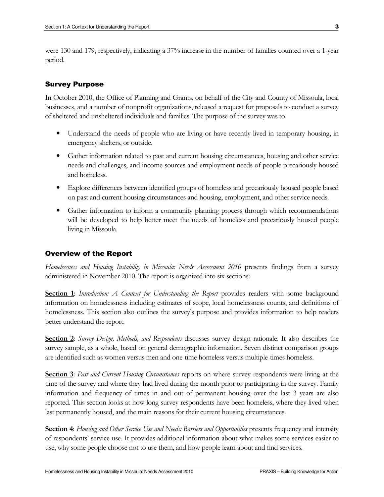were 130 and 179, respectively, indicating a 37% increase in the number of families counted over a 1-year period.

## Survey Purpose

In October 2010, the Office of Planning and Grants, on behalf of the City and County of Missoula, local businesses, and a number of nonprofit organizations, released a request for proposals to conduct a survey of sheltered and unsheltered individuals and families. The purpose of the survey was to

- Understand the needs of people who are living or have recently lived in temporary housing, in emergency shelters, or outside.
- Gather information related to past and current housing circumstances, housing and other service needs and challenges, and income sources and employment needs of people precariously housed and homeless.
- Explore differences between identified groups of homeless and precariously housed people based on past and current housing circumstances and housing, employment, and other service needs.
- Gather information to inform a community planning process through which recommendations will be developed to help better meet the needs of homeless and precariously housed people living in Missoula.

# Overview of the Report

Homelessness and Housing Instability in Missoula: Needs Assessment 2010 presents findings from a survey administered in November 2010. The report is organized into six sections:

Section 1: Introduction: A Context for Understanding the Report provides readers with some background information on homelessness including estimates of scope, local homelessness counts, and definitions of homelessness. This section also outlines the survey's purpose and provides information to help readers better understand the report.

Section 2: Survey Design, Methods, and Respondents discusses survey design rationale. It also describes the survey sample, as a whole, based on general demographic information. Seven distinct comparison groups are identified such as women versus men and one-time homeless versus multiple-times homeless.

**Section 3:** Past and Current Housing Circumstances reports on where survey respondents were living at the time of the survey and where they had lived during the month prior to participating in the survey. Family information and frequency of times in and out of permanent housing over the last 3 years are also reported. This section looks at how long survey respondents have been homeless, where they lived when last permanently housed, and the main reasons for their current housing circumstances.

Section 4: Housing and Other Service Use and Needs: Barriers and Opportunities presents frequency and intensity of respondents' service use. It provides additional information about what makes some services easier to use, why some people choose not to use them, and how people learn about and find services.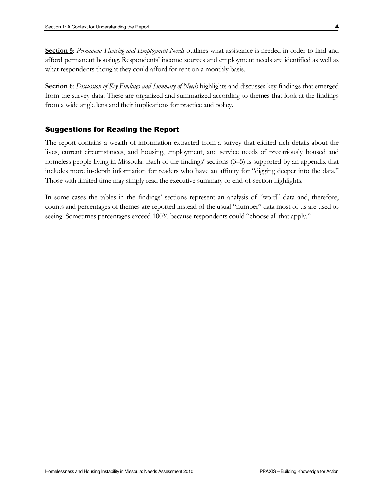Section 5: Permanent Housing and Employment Needs outlines what assistance is needed in order to find and afford permanent housing. Respondents' income sources and employment needs are identified as well as what respondents thought they could afford for rent on a monthly basis.

Section 6: Discussion of Key Findings and Summary of Needs highlights and discusses key findings that emerged from the survey data. These are organized and summarized according to themes that look at the findings from a wide angle lens and their implications for practice and policy.

#### Suggestions for Reading the Report

The report contains a wealth of information extracted from a survey that elicited rich details about the lives, current circumstances, and housing, employment, and service needs of precariously housed and homeless people living in Missoula. Each of the findings' sections (3–5) is supported by an appendix that includes more in-depth information for readers who have an affinity for "digging deeper into the data." Those with limited time may simply read the executive summary or end-of-section highlights.

In some cases the tables in the findings' sections represent an analysis of "word" data and, therefore, counts and percentages of themes are reported instead of the usual "number" data most of us are used to seeing. Sometimes percentages exceed 100% because respondents could "choose all that apply."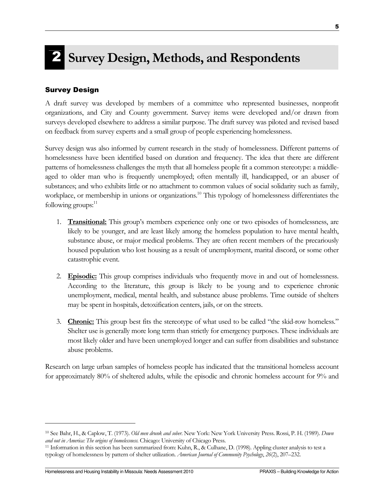# 2 Survey Design, Methods, and Respondents

# Survey Design

A draft survey was developed by members of a committee who represented businesses, nonprofit organizations, and City and County government. Survey items were developed and/or drawn from surveys developed elsewhere to address a similar purpose. The draft survey was piloted and revised based on feedback from survey experts and a small group of people experiencing homelessness.

Survey design was also informed by current research in the study of homelessness. Different patterns of homelessness have been identified based on duration and frequency. The idea that there are different patterns of homelessness challenges the myth that all homeless people fit a common stereotype: a middleaged to older man who is frequently unemployed; often mentally ill, handicapped, or an abuser of substances; and who exhibits little or no attachment to common values of social solidarity such as family, workplace, or membership in unions or organizations.<sup>10</sup> This typology of homelessness differentiates the following groups: $11$ 

- 1. **Transitional:** This group's members experience only one or two episodes of homelessness, are likely to be younger, and are least likely among the homeless population to have mental health, substance abuse, or major medical problems. They are often recent members of the precariously housed population who lost housing as a result of unemployment, marital discord, or some other catastrophic event.
- 2. **Episodic:** This group comprises individuals who frequently move in and out of homelessness. According to the literature, this group is likely to be young and to experience chronic unemployment, medical, mental health, and substance abuse problems. Time outside of shelters may be spent in hospitals, detoxification centers, jails, or on the streets.
- 3. Chronic: This group best fits the stereotype of what used to be called "the skid-row homeless." Shelter use is generally more long term than strictly for emergency purposes. These individuals are most likely older and have been unemployed longer and can suffer from disabilities and substance abuse problems.

Research on large urban samples of homeless people has indicated that the transitional homeless account for approximately 80% of sheltered adults, while the episodic and chronic homeless account for 9% and

<sup>&</sup>lt;sup>10</sup> See Bahr, H., & Caplow, T. (1973). Old men drunk and sober. New York: New York University Press. Rossi, P. H. (1989). Down and out in America: The origins of homelessness. Chicago: University of Chicago Press.

<sup>11</sup> Information in this section has been summarized from: Kuhn, R., & Culhane, D. (1998). Appling cluster analysis to test a typology of homelessness by pattern of shelter utilization. American Journal of Community Psychology, 26(2), 207–232.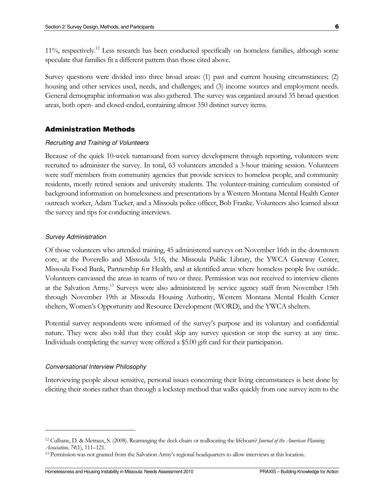11%, respectively.<sup>12</sup> Less research has been conducted specifically on homeless families, although some speculate that families fit a different pattern than those cited above.

Survey questions were divided into three broad areas: (1) past and current housing circumstances; (2) housing and other services used, needs, and challenges; and (3) income sources and employment needs. General demographic information was also gathered. The survey was organized around 35 broad question areas, both open- and closed-ended, containing almost 350 distinct survey items.

#### Administration Methods

#### Recruiting and Training of Volunteers

Because of the quick 10-week turnaround from survey development through reporting, volunteers were recruited to administer the survey. In total, 63 volunteers attended a 3-hour training session. Volunteers were staff members from community agencies that provide services to homeless people, and community residents, mostly retired seniors and university students. The volunteer-training curriculum consisted of background information on homelessness and presentations by a Western Montana Mental Health Center outreach worker, Adam Tucker, and a Missoula police officer, Bob Franke. Volunteers also learned about the survey and tips for conducting interviews.

#### Survey Administration

Of those volunteers who attended training, 45 administered surveys on November 16th in the downtown core, at the Poverello and Missoula 3:16, the Missoula Public Library, the YWCA Gateway Center, Missoula Food Bank, Partnership for Health, and at identified areas where homeless people live outside. Volunteers canvassed the areas in teams of two or three. Permission was not received to interview clients at the Salvation Army.<sup>13</sup> Surveys were also administered by service agency staff from November 15th through November 19th at Missoula Housing Authority, Western Montana Mental Health Center shelters, Women's Opportunity and Resource Development (WORD), and the YWCA shelters.

Potential survey respondents were informed of the survey's purpose and its voluntary and confidential nature. They were also told that they could skip any survey question or stop the survey at any time. Individuals completing the survey were offered a \$5.00 gift card for their participation.

#### Conversational Interview Philosophy

 $\overline{a}$ 

Interviewing people about sensitive, personal issues concerning their living circumstances is best done by eliciting their stories rather than through a lockstep method that walks quickly from one survey item to the

<sup>&</sup>lt;sup>12</sup> Culhane, D. & Metraux, S. (2008). Rearranging the deck chairs or reallocating the lifeboats? Journal of the American Planning Association, 74(1), 111–121.

<sup>&</sup>lt;sup>13</sup> Permission was not granted from the Salvation Army's regional headquarters to allow interviews at this location.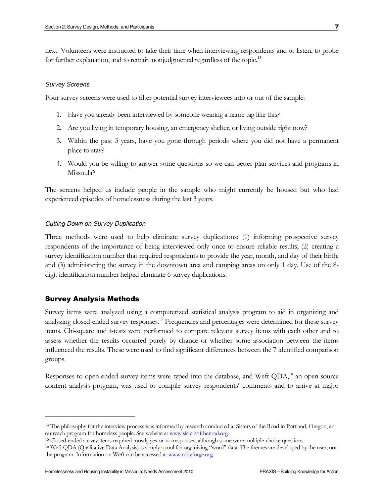next. Volunteers were instructed to take their time when interviewing respondents and to listen, to probe for further explanation, and to remain nonjudgmental regardless of the topic.<sup>14</sup>

#### Survey Screens

Four survey screens were used to filter potential survey interviewees into or out of the sample:

- 1. Have you already been interviewed by someone wearing a name tag like this?
- 2. Are you living in temporary housing, an emergency shelter, or living outside right now?
- 3. Within the past 3 years, have you gone through periods where you did not have a permanent place to stay?
- 4. Would you be willing to answer some questions so we can better plan services and programs in Missoula?

The screens helped us include people in the sample who might currently be housed but who had experienced episodes of homelessness during the last 3 years.

#### Cutting Down on Survey Duplication

Three methods were used to help eliminate survey duplications: (1) informing prospective survey respondents of the importance of being interviewed only once to ensure reliable results; (2) creating a survey identification number that required respondents to provide the year, month, and day of their birth; and (3) administering the survey in the downtown area and camping areas on only 1 day. Use of the 8 digit identification number helped eliminate 6 survey duplications.

#### Survey Analysis Methods

 $\overline{a}$ 

Survey items were analyzed using a computerized statistical analysis program to aid in organizing and analyzing closed-ended survey responses.<sup>15</sup> Frequencies and percentages were determined for these survey items. Chi-square and t-tests were performed to compare relevant survey items with each other and to assess whether the results occurred purely by chance or whether some association between the items influenced the results. These were used to find significant differences between the 7 identified comparison groups.

Responses to open-ended survey items were typed into the database, and Weft QDA,<sup>16</sup> an open-source content analysis program, was used to compile survey respondents' comments and to arrive at major

<sup>&</sup>lt;sup>14</sup> The philosophy for the interview process was informed by research conducted at Sisters of the Road in Portland, Oregon, an outreach program for homeless people. See website at www.sistersoftheroad.org.

<sup>15</sup> Closed-ended survey items required mostly yes-or-no responses, although some were multiple-choice questions.

<sup>16</sup> Weft QDA (Qualitative Data Analysis) is simply a tool for organizing "word" data. The themes are developed by the user, not the program. Information on Weft can be accessed at www.rubyforge.org.

Homelessness and Housing Instability in Missoula: Needs Assessment 2010 PRAXIS – Building Knowledge for Action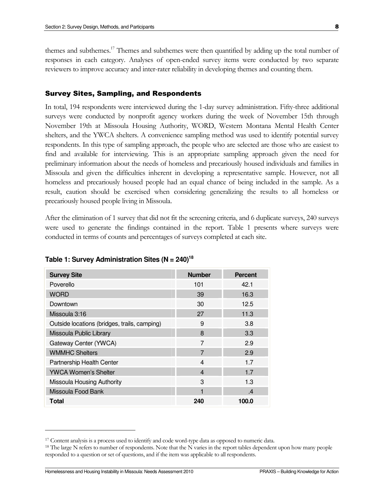themes and subthemes.<sup>17</sup> Themes and subthemes were then quantified by adding up the total number of responses in each category. Analyses of open-ended survey items were conducted by two separate reviewers to improve accuracy and inter-rater reliability in developing themes and counting them.

#### Survey Sites, Sampling, and Respondents

In total, 194 respondents were interviewed during the 1-day survey administration. Fifty-three additional surveys were conducted by nonprofit agency workers during the week of November 15th through November 19th at Missoula Housing Authority, WORD, Western Montana Mental Health Center shelters, and the YWCA shelters. A convenience sampling method was used to identify potential survey respondents. In this type of sampling approach, the people who are selected are those who are easiest to find and available for interviewing. This is an appropriate sampling approach given the need for preliminary information about the needs of homeless and precariously housed individuals and families in Missoula and given the difficulties inherent in developing a representative sample. However, not all homeless and precariously housed people had an equal chance of being included in the sample. As a result, caution should be exercised when considering generalizing the results to all homeless or precariously housed people living in Missoula.

After the elimination of 1 survey that did not fit the screening criteria, and 6 duplicate surveys, 240 surveys were used to generate the findings contained in the report. Table 1 presents where surveys were conducted in terms of counts and percentages of surveys completed at each site.

| <b>Survey Site</b>                           | <b>Number</b>    | <b>Percent</b> |
|----------------------------------------------|------------------|----------------|
| Poverello                                    | 101              | 42.1           |
| <b>WORD</b>                                  | 39               | 16.3           |
| Downtown                                     | 30               | 12.5           |
| Missoula 3:16                                | 27               | 11.3           |
| Outside locations (bridges, trails, camping) | 9                | 3.8            |
| Missoula Public Library                      | 8                | 3.3            |
| Gateway Center (YWCA)                        | 7                | 2.9            |
| <b>WMMHC Shelters</b>                        | 7                | 2.9            |
| Partnership Health Center                    | $\boldsymbol{4}$ | 1.7            |
| <b>YWCA Women's Shelter</b>                  | $\overline{4}$   | 1.7            |
| Missoula Housing Authority                   | 3                | 1.3            |
| Missoula Food Bank                           | 1                | $\mathcal{A}$  |
| <b>Total</b>                                 | 240              | 100.0          |

**Table 1: Survey Administration Sites (N = 240)<sup>18</sup>**

Homelessness and Housing Instability in Missoula: Needs Assessment 2010 PRAXIS – Building Knowledge for Action

<sup>17</sup> Content analysis is a process used to identify and code word-type data as opposed to numeric data.

<sup>&</sup>lt;sup>18</sup> The large N refers to number of respondents. Note that the N varies in the report tables dependent upon how many people responded to a question or set of questions, and if the item was applicable to all respondents.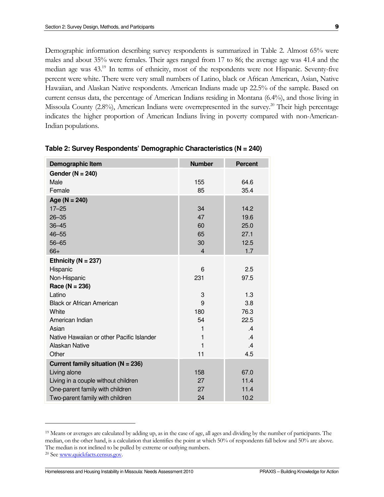Demographic information describing survey respondents is summarized in Table 2. Almost 65% were males and about 35% were females. Their ages ranged from 17 to 86; the average age was 41.4 and the median age was 43.<sup>19</sup> In terms of ethnicity, most of the respondents were not Hispanic. Seventy-five percent were white. There were very small numbers of Latino, black or African American, Asian, Native Hawaiian, and Alaskan Native respondents. American Indians made up 22.5% of the sample. Based on current census data, the percentage of American Indians residing in Montana (6.4%), and those living in Missoula County (2.8%), American Indians were overrepresented in the survey.<sup>20</sup> Their high percentage indicates the higher proportion of American Indians living in poverty compared with non-American-Indian populations.

| Demographic Item                          | <b>Number</b>  | <b>Percent</b> |
|-------------------------------------------|----------------|----------------|
| Gender ( $N = 240$ )                      |                |                |
| Male                                      | 155            | 64.6           |
| Female                                    | 85             | 35.4           |
| Age ( $N = 240$ )                         |                |                |
| $17 - 25$                                 | 34             | 14.2           |
| $26 - 35$                                 | 47             | 19.6           |
| $36 - 45$                                 | 60             | 25.0           |
| $46 - 55$                                 | 65             | 27.1           |
| $56 - 65$                                 | 30             | 12.5           |
| $66+$                                     | $\overline{4}$ | 1.7            |
| Ethnicity ( $N = 237$ )                   |                |                |
| Hispanic                                  | 6              | 2.5            |
| Non-Hispanic                              | 231            | 97.5           |
| Race ( $N = 236$ )                        |                |                |
| Latino                                    | 3              | 1.3            |
| <b>Black or African American</b>          | 9              | 3.8            |
| White                                     | 180            | 76.3           |
| American Indian                           | 54             | 22.5           |
| Asian                                     | 1              | .4             |
| Native Hawaiian or other Pacific Islander | 1              | $\mathcal{A}$  |
| Alaskan Native                            | 1              | .4             |
| Other                                     | 11             | 4.5            |
| Current family situation ( $N = 236$ )    |                |                |
| Living alone                              | 158            | 67.0           |
| Living in a couple without children       | 27             | 11.4           |
| One-parent family with children           | 27             | 11.4           |
| Two-parent family with children           | 24             | 10.2           |

|  | Table 2: Survey Respondents' Demographic Characteristics (N = 240) |  |
|--|--------------------------------------------------------------------|--|
|  |                                                                    |  |

 $\overline{a}$ 

Homelessness and Housing Instability in Missoula: Needs Assessment 2010 PRAXIS – Building Knowledge for Action

<sup>19</sup> Means or averages are calculated by adding up, as in the case of age, all ages and dividing by the number of participants. The median, on the other hand, is a calculation that identifies the point at which 50% of respondents fall below and 50% are above. The median is not inclined to be pulled by extreme or outlying numbers.

<sup>&</sup>lt;sup>20</sup> See www.quickfacts.census.gov.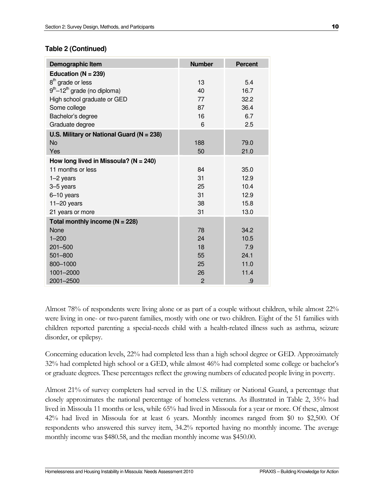# **Table 2 (Continued)**

| Demographic Item                              | <b>Number</b>  | <b>Percent</b> |
|-----------------------------------------------|----------------|----------------|
| Education ( $N = 239$ )                       |                |                |
| 8 <sup>th</sup> grade or less                 | 13             | 5.4            |
| $9th-12th$ grade (no diploma)                 | 40             | 16.7           |
| High school graduate or GED                   | 77             | 32.2           |
| Some college                                  | 87             | 36.4           |
| Bachelor's degree                             | 16             | 6.7            |
| Graduate degree                               | 6              | 2.5            |
| U.S. Military or National Guard ( $N = 238$ ) |                |                |
| No                                            | 188            | 79.0           |
| Yes                                           | 50             | 21.0           |
| How long lived in Missoula? ( $N = 240$ )     |                |                |
| 11 months or less                             | 84             | 35.0           |
| $1-2$ years                                   | 31             | 12.9           |
| 3-5 years                                     | 25             | 10.4           |
| 6-10 years                                    | 31             | 12.9           |
| $11-20$ years                                 | 38             | 15.8           |
| 21 years or more                              | 31             | 13.0           |
| Total monthly income ( $N = 228$ )            |                |                |
| None                                          | 78             | 34.2           |
| $1 - 200$                                     | 24             | 10.5           |
| 201-500                                       | 18             | 7.9            |
| 501-800                                       | 55             | 24.1           |
| 800-1000                                      | 25             | 11.0           |
| 1001-2000                                     | 26             | 11.4           |
| 2001-2500                                     | $\overline{2}$ | .9             |

Almost 78% of respondents were living alone or as part of a couple without children, while almost 22% were living in one- or two-parent families, mostly with one or two children. Eight of the 51 families with children reported parenting a special-needs child with a health-related illness such as asthma, seizure disorder, or epilepsy.

Concerning education levels, 22% had completed less than a high school degree or GED. Approximately 32% had completed high school or a GED, while almost 46% had completed some college or bachelor's or graduate degrees. These percentages reflect the growing numbers of educated people living in poverty.

Almost 21% of survey completers had served in the U.S. military or National Guard, a percentage that closely approximates the national percentage of homeless veterans. As illustrated in Table 2, 35% had lived in Missoula 11 months or less, while 65% had lived in Missoula for a year or more. Of these, almost 42% had lived in Missoula for at least 6 years. Monthly incomes ranged from \$0 to \$2,500. Of respondents who answered this survey item, 34.2% reported having no monthly income. The average monthly income was \$480.58, and the median monthly income was \$450.00.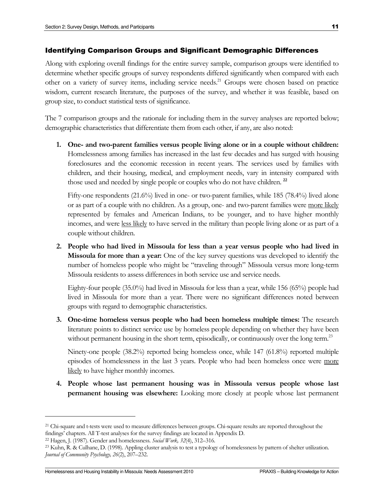#### Identifying Comparison Groups and Significant Demographic Differences

Along with exploring overall findings for the entire survey sample, comparison groups were identified to determine whether specific groups of survey respondents differed significantly when compared with each other on a variety of survey items, including service needs.<sup>21</sup> Groups were chosen based on practice wisdom, current research literature, the purposes of the survey, and whether it was feasible, based on group size, to conduct statistical tests of significance.

The 7 comparison groups and the rationale for including them in the survey analyses are reported below; demographic characteristics that differentiate them from each other, if any, are also noted:

1. One- and two-parent families versus people living alone or in a couple without children: Homelessness among families has increased in the last few decades and has surged with housing foreclosures and the economic recession in recent years. The services used by families with children, and their housing, medical, and employment needs, vary in intensity compared with those used and needed by single people or couples who do not have children.<sup>22</sup>

Fifty-one respondents (21.6%) lived in one- or two-parent families, while 185 (78.4%) lived alone or as part of a couple with no children. As a group, one- and two-parent families were more likely represented by females and American Indians, to be younger, and to have higher monthly incomes, and were less likely to have served in the military than people living alone or as part of a couple without children.

2. People who had lived in Missoula for less than a year versus people who had lived in Missoula for more than a year: One of the key survey questions was developed to identify the number of homeless people who might be "traveling through" Missoula versus more long-term Missoula residents to assess differences in both service use and service needs.

Eighty-four people (35.0%) had lived in Missoula for less than a year, while 156 (65%) people had lived in Missoula for more than a year. There were no significant differences noted between groups with regard to demographic characteristics.

3. One-time homeless versus people who had been homeless multiple times: The research literature points to distinct service use by homeless people depending on whether they have been without permanent housing in the short term, episodically, or continuously over the long term.<sup>23</sup>

Ninety-one people (38.2%) reported being homeless once, while 147 (61.8%) reported multiple episodes of homelessness in the last 3 years. People who had been homeless once were more likely to have higher monthly incomes.

4. People whose last permanent housing was in Missoula versus people whose last permanent housing was elsewhere: Looking more closely at people whose last permanent

<sup>&</sup>lt;sup>21</sup> Chi-square and t-tests were used to measure differences between groups. Chi-square results are reported throughout the findings' chapters. All T-test analyses for the survey findings are located in Appendix D.

<sup>&</sup>lt;sup>22</sup> Hagen, J. (1987). Gender and homelessness. Social Work, 32(4), 312–316.

<sup>23</sup> Kuhn, R. & Culhane, D. (1998). Appling cluster analysis to test a typology of homelessness by pattern of shelter utilization. Journal of Community Psychology, 26(2), 207–232.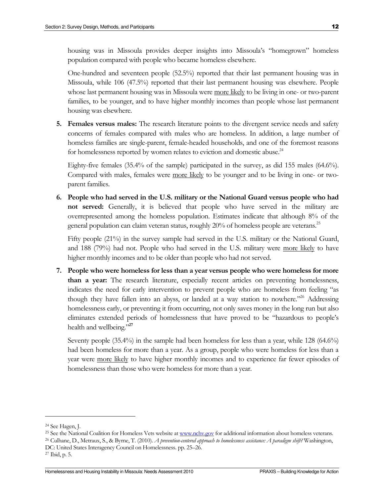housing was in Missoula provides deeper insights into Missoula's "homegrown" homeless population compared with people who became homeless elsewhere.

One-hundred and seventeen people (52.5%) reported that their last permanent housing was in Missoula, while 106 (47.5%) reported that their last permanent housing was elsewhere. People whose last permanent housing was in Missoula were <u>more likely</u> to be living in one- or two-parent families, to be younger, and to have higher monthly incomes than people whose last permanent housing was elsewhere.

5. Females versus males: The research literature points to the divergent service needs and safety concerns of females compared with males who are homeless. In addition, a large number of homeless families are single-parent, female-headed households, and one of the foremost reasons for homelessness reported by women relates to eviction and domestic abuse.<sup>24</sup>

Eighty-five females (35.4% of the sample) participated in the survey, as did 155 males (64.6%). Compared with males, females were more likely to be younger and to be living in one- or twoparent families.

6. People who had served in the U.S. military or the National Guard versus people who had not served: Generally, it is believed that people who have served in the military are overrepresented among the homeless population. Estimates indicate that although 8% of the general population can claim veteran status, roughly 20% of homeless people are veterans.<sup>25</sup>

Fifty people (21%) in the survey sample had served in the U.S. military or the National Guard, and 188 (79%) had not. People who had served in the U.S. military were more likely to have higher monthly incomes and to be older than people who had not served.

7. People who were homeless for less than a year versus people who were homeless for more than a year: The research literature, especially recent articles on preventing homelessness, indicates the need for early intervention to prevent people who are homeless from feeling "as though they have fallen into an abyss, or landed at a way station to nowhere.<sup>226</sup> Addressing homelessness early, or preventing it from occurring, not only saves money in the long run but also eliminates extended periods of homelessness that have proved to be "hazardous to people's health and wellbeing."<sup>27</sup>

Seventy people (35.4%) in the sample had been homeless for less than a year, while 128 (64.6%) had been homeless for more than a year. As a group, people who were homeless for less than a year were more likely to have higher monthly incomes and to experience far fewer episodes of homelessness than those who were homeless for more than a year.

<sup>24</sup> See Hagen, J.

<sup>&</sup>lt;sup>25</sup> See the National Coalition for Homeless Vets website at www.nchv.gov for additional information about homeless veterans.

<sup>&</sup>lt;sup>26</sup> Culhane, D., Metraux, S., & Byrne, T. (2010). A prevention-centered approach to homelessness assistance: A paradigm shift? Washington, DC: United States Interagency Council on Homelessness. pp. 25–26.

<sup>27</sup> Ibid, p. 5.

Homelessness and Housing Instability in Missoula: Needs Assessment 2010 PRAXIS – Building Knowledge for Action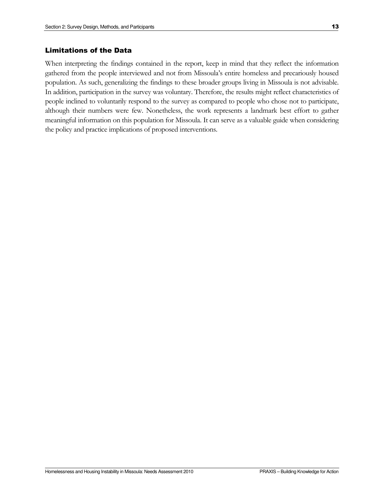When interpreting the findings contained in the report, keep in mind that they reflect the information gathered from the people interviewed and not from Missoula's entire homeless and precariously housed population. As such, generalizing the findings to these broader groups living in Missoula is not advisable. In addition, participation in the survey was voluntary. Therefore, the results might reflect characteristics of people inclined to voluntarily respond to the survey as compared to people who chose not to participate, although their numbers were few. Nonetheless, the work represents a landmark best effort to gather meaningful information on this population for Missoula. It can serve as a valuable guide when considering the policy and practice implications of proposed interventions.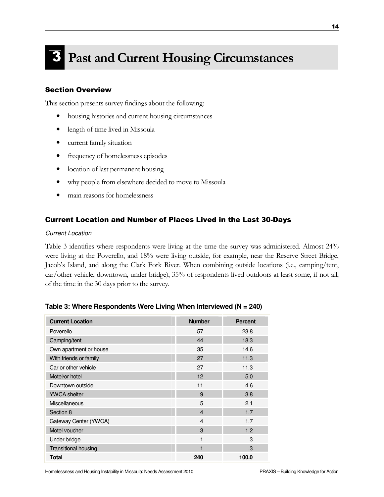# **Past and Current Housing Circumstances**

# Section Overview

This section presents survey findings about the following:

- housing histories and current housing circumstances
- length of time lived in Missoula
- current family situation
- frequency of homelessness episodes
- location of last permanent housing
- why people from elsewhere decided to move to Missoula
- main reasons for homelessness

## Current Location and Number of Places Lived in the Last 30-Days

#### Current Location

Table 3 identifies where respondents were living at the time the survey was administered. Almost 24% were living at the Poverello, and 18% were living outside, for example, near the Reserve Street Bridge, Jacob's Island, and along the Clark Fork River. When combining outside locations (i.e., camping/tent, car/other vehicle, downtown, under bridge), 35% of respondents lived outdoors at least some, if not all, of the time in the 30 days prior to the survey.

| <b>Current Location</b>     | <b>Number</b>  | <b>Percent</b> |
|-----------------------------|----------------|----------------|
| Poverello                   | 57             | 23.8           |
| Camping/tent                | 44             | 18.3           |
| Own apartment or house      | 35             | 14.6           |
| With friends or family      | 27             | 11.3           |
| Car or other vehicle        | 27             | 11.3           |
| Motel/or hotel              | 12             | 5.0            |
| Downtown outside            | 11             | 4.6            |
| <b>YWCA</b> shelter         | 9              | 3.8            |
| Miscellaneous               | 5              | 2.1            |
| Section 8                   | $\overline{4}$ | 1.7            |
| Gateway Center (YWCA)       | $\overline{4}$ | 1.7            |
| Motel voucher               | 3              | 1.2            |
| Under bridge                | 1              | .3             |
| <b>Transitional housing</b> |                | .3             |
| Total                       | 240            | 100.0          |

#### **Table 3: Where Respondents Were Living When Interviewed (N = 240)**

Homelessness and Housing Instability in Missoula: Needs Assessment 2010 PRAXIS – Building Knowledge for Action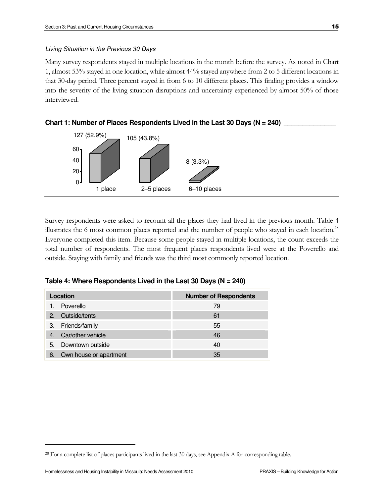#### Living Situation in the Previous 30 Days

Many survey respondents stayed in multiple locations in the month before the survey. As noted in Chart 1, almost 53% stayed in one location, while almost 44% stayed anywhere from 2 to 5 different locations in that 30-day period. Three percent stayed in from 6 to 10 different places. This finding provides a window into the severity of the living-situation disruptions and uncertainty experienced by almost 50% of those interviewed.



Survey respondents were asked to recount all the places they had lived in the previous month. Table 4 illustrates the 6 most common places reported and the number of people who stayed in each location.<sup>28</sup> Everyone completed this item. Because some people stayed in multiple locations, the count exceeds the total number of respondents. The most frequent places respondents lived were at the Poverello and outside. Staying with family and friends was the third most commonly reported location.

| Location                        | <b>Number of Respondents</b> |
|---------------------------------|------------------------------|
| Poverello<br>1.                 | 79                           |
| Outside/tents<br>2 <sup>1</sup> | 61                           |
| 3. Friends/family               | 55                           |
| Car/other vehicle               | 46                           |
| Downtown outside<br>5.          | 40                           |
| Own house or apartment<br>6.    | 35                           |

<sup>&</sup>lt;sup>28</sup> For a complete list of places participants lived in the last 30 days, see Appendix A for corresponding table.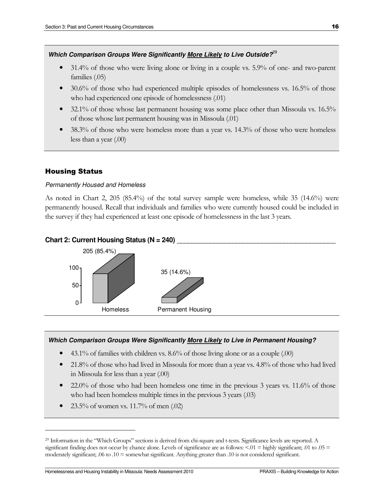#### **Which Comparison Groups Were Significantly More Likely to Live Outside?**<sup>29</sup>

- 31.4% of those who were living alone or living in a couple vs. 5.9% of one- and two-parent families (.05)
- 30.6% of those who had experienced multiple episodes of homelessness vs. 16.5% of those who had experienced one episode of homelessness (.01)
- 32.1% of those whose last permanent housing was some place other than Missoula vs. 16.5% of those whose last permanent housing was in Missoula (.01)
- 38.3% of those who were homeless more than a year vs. 14.3% of those who were homeless less than a year (.00)

# Housing Status

 $\overline{a}$ 

#### Permanently Housed and Homeless

As noted in Chart 2, 205 (85.4%) of the total survey sample were homeless, while 35 (14.6%) were permanently housed. Recall that individuals and families who were currently housed could be included in the survey if they had experienced at least one episode of homelessness in the last 3 years.

#### Chart 2: Current Housing Status (N = 240)



#### **Which Comparison Groups Were Significantly More Likely to Live in Permanent Housing?**

- 43.1% of families with children vs. 8.6% of those living alone or as a couple (.00)
- 21.8% of those who had lived in Missoula for more than a year vs. 4.8% of those who had lived in Missoula for less than a year (.00)
- $22.0\%$  of those who had been homeless one time in the previous 3 years vs. 11.6% of those who had been homeless multiple times in the previous 3 years (.03)
- 23.5% of women vs. 11.7% of men (.02)

<sup>29</sup> Information in the "Which Groups" sections is derived from chi-square and t-tests. Significance levels are reported. A significant finding does not occur by chance alone. Levels of significance are as follows:  $\leq 0.01$  = highly significant; .01 to .05 = moderately significant; .06 to .10 = somewhat significant. Anything greater than .10 is not considered significant.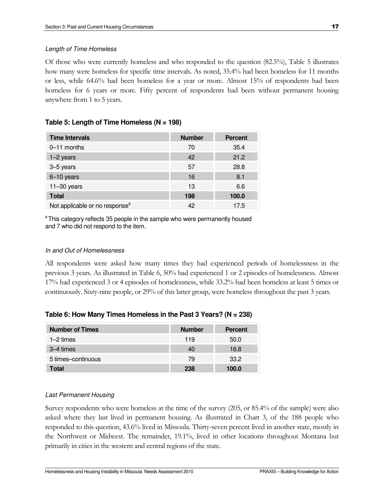#### Length of Time Homeless

Of those who were currently homeless and who responded to the question (82.5%), Table 5 illustrates how many were homeless for specific time intervals. As noted, 35.4% had been homeless for 11 months or less, while 64.6% had been homeless for a year or more. Almost 15% of respondents had been homeless for 6 years or more. Fifty percent of respondents had been without permanent housing anywhere from 1 to 5 years.

# **Table 5: Length of Time Homeless (N = 198)**

| <b>Time Intervals</b>                      | <b>Number</b> | <b>Percent</b> |
|--------------------------------------------|---------------|----------------|
| 0-11 months                                | 70            | 35.4           |
| $1-2$ years                                | 42            | 21.2           |
| 3-5 years                                  | 57            | 28.8           |
| 6-10 years                                 | 16            | 8.1            |
| $11 - 30$ years                            | 13            | 6.6            |
| <b>Total</b>                               | 198           | 100.0          |
| Not applicable or no response <sup>a</sup> | 42            | 17.5           |

<sup>a</sup>This category reflects 35 people in the sample who were permanently housed and 7 who did not respond to the item.

#### In and Out of Homelessness

All respondents were asked how many times they had experienced periods of homelessness in the previous 3 years. As illustrated in Table 6, 50% had experienced 1 or 2 episodes of homelessness. Almost 17% had experienced 3 or 4 episodes of homelessness, while 33.2% had been homeless at least 5 times or continuously. Sixty-nine people, or 29% of this latter group, were homeless throughout the past 3 years.

| <b>Number of Times</b> | <b>Number</b> | <b>Percent</b> |
|------------------------|---------------|----------------|
| $1-2$ times            | 119           | 50.0           |
| 3–4 times              | 40            | 16.8           |
| 5 times-continuous     | 79            | 33.2           |
| <b>Total</b>           | 238           | 100.0          |

# **Table 6: How Many Times Homeless in the Past 3 Years? (N = 238)**

#### Last Permanent Housing

Survey respondents who were homeless at the time of the survey (205, or 85.4% of the sample) were also asked where they last lived in permanent housing. As illustrated in Chart 3, of the 188 people who responded to this question, 43.6% lived in Missoula. Thirty-seven percent lived in another state, mostly in the Northwest or Midwest. The remainder, 19.1%, lived in other locations throughout Montana but primarily in cities in the western and central regions of the state.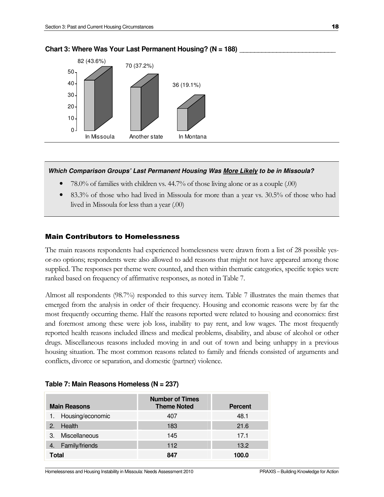

#### Chart 3: Where Was Your Last Permanent Housing? (N = 188)

#### **Which Comparison Groups' Last Permanent Housing Was More Likely to be in Missoula?**

- 78.0% of families with children vs. 44.7% of those living alone or as a couple (.00)
- 83.3% of those who had lived in Missoula for more than a year vs. 30.5% of those who had lived in Missoula for less than a year (.00)

#### Main Contributors to Homelessness

The main reasons respondents had experienced homelessness were drawn from a list of 28 possible yesor-no options; respondents were also allowed to add reasons that might not have appeared among those supplied. The responses per theme were counted, and then within thematic categories, specific topics were ranked based on frequency of affirmative responses, as noted in Table 7.

Almost all respondents (98.7%) responded to this survey item. Table 7 illustrates the main themes that emerged from the analysis in order of their frequency. Housing and economic reasons were by far the most frequently occurring theme. Half the reasons reported were related to housing and economics: first and foremost among these were job loss, inability to pay rent, and low wages. The most frequently reported health reasons included illness and medical problems, disability, and abuse of alcohol or other drugs. Miscellaneous reasons included moving in and out of town and being unhappy in a previous housing situation. The most common reasons related to family and friends consisted of arguments and conflicts, divorce or separation, and domestic (partner) violence.

| <b>Main Reasons</b> | <b>Number of Times</b><br><b>Theme Noted</b> | <b>Percent</b> |
|---------------------|----------------------------------------------|----------------|
| 1. Housing/economic | 407                                          | 48.1           |
| Health<br>2.        | 183                                          | 21.6           |
| Miscellaneous<br>3. | 145                                          | 17.1           |
| Family/friends      | 112                                          | 13.2           |
| <b>Total</b>        | 847                                          | 100.0          |

#### **Table 7: Main Reasons Homeless (N = 237)**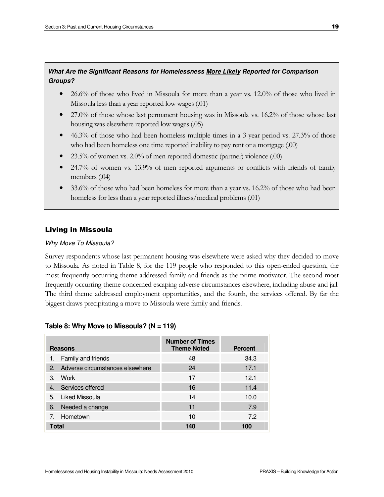## **What Are the Significant Reasons for Homelessness More Likely Reported for Comparison Groups?**

- 26.6% of those who lived in Missoula for more than a year vs. 12.0% of those who lived in Missoula less than a year reported low wages (.01)
- 27.0% of those whose last permanent housing was in Missoula vs. 16.2% of those whose last housing was elsewhere reported low wages (.05)
- 46.3% of those who had been homeless multiple times in a 3-year period vs. 27.3% of those who had been homeless one time reported inability to pay rent or a mortgage (.00)
- 23.5% of women vs. 2.0% of men reported domestic (partner) violence (.00)
- 24.7% of women vs. 13.9% of men reported arguments or conflicts with friends of family members (.04)
- 33.6% of those who had been homeless for more than a year vs. 16.2% of those who had been homeless for less than a year reported illness/medical problems (.01)

# Living in Missoula

#### Why Move To Missoula?

Survey respondents whose last permanent housing was elsewhere were asked why they decided to move to Missoula. As noted in Table 8, for the 119 people who responded to this open-ended question, the most frequently occurring theme addressed family and friends as the prime motivator. The second most frequently occurring theme concerned escaping adverse circumstances elsewhere, including abuse and jail. The third theme addressed employment opportunities, and the fourth, the services offered. By far the biggest draws precipitating a move to Missoula were family and friends.

| <b>Reasons</b>                     | <b>Number of Times</b><br><b>Theme Noted</b> | <b>Percent</b> |
|------------------------------------|----------------------------------------------|----------------|
| Family and friends<br>1.           | 48                                           | 34.3           |
| 2. Adverse circumstances elsewhere | 24                                           | 17.1           |
| Work<br>$3_{-}$                    | 17                                           | 12.1           |
| Services offered<br>4.             | 16                                           | 11.4           |
| 5. Liked Missoula                  | 14                                           | 10.0           |
| Needed a change<br>6.              | 11                                           | 7.9            |
| 7. Hometown                        | 10                                           | 7.2            |
| <b>Total</b>                       | 140                                          | 100            |

# **Table 8: Why Move to Missoula? (N = 119)**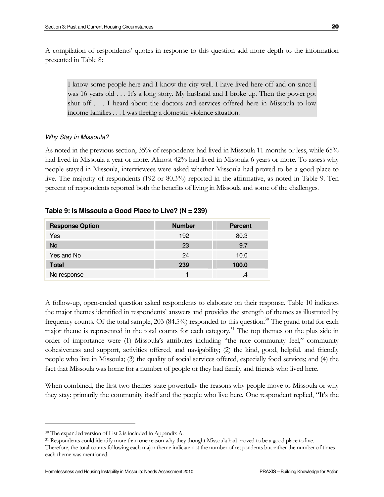A compilation of respondents' quotes in response to this question add more depth to the information presented in Table 8:

I know some people here and I know the city well. I have lived here off and on since I was 16 years old . . . It's a long story. My husband and I broke up. Then the power got shut off . . . I heard about the doctors and services offered here in Missoula to low income families . . . I was fleeing a domestic violence situation.

#### Why Stay in Missoula?

As noted in the previous section, 35% of respondents had lived in Missoula 11 months or less, while 65% had lived in Missoula a year or more. Almost 42% had lived in Missoula 6 years or more. To assess why people stayed in Missoula, interviewees were asked whether Missoula had proved to be a good place to live. The majority of respondents (192 or 80.3%) reported in the affirmative, as noted in Table 9. Ten percent of respondents reported both the benefits of living in Missoula and some of the challenges.

#### **Table 9: Is Missoula a Good Place to Live? (N = 239)**

| <b>Response Option</b> | <b>Number</b> | <b>Percent</b> |
|------------------------|---------------|----------------|
| Yes                    | 192           | 80.3           |
| No                     | 23            | 9.7            |
| Yes and No             | 24            | 10.0           |
| <b>Total</b>           | 239           | 100.0          |
| No response            |               |                |

A follow-up, open-ended question asked respondents to elaborate on their response. Table 10 indicates the major themes identified in respondents' answers and provides the strength of themes as illustrated by frequency counts. Of the total sample, 203 (84.5%) responded to this question.<sup>30</sup> The grand total for each major theme is represented in the total counts for each category.<sup>31</sup> The top themes on the plus side in order of importance were (1) Missoula's attributes including "the nice community feel," community cohesiveness and support, activities offered, and navigability; (2) the kind, good, helpful, and friendly people who live in Missoula; (3) the quality of social services offered, especially food services; and (4) the fact that Missoula was home for a number of people or they had family and friends who lived here.

When combined, the first two themes state powerfully the reasons why people move to Missoula or why they stay: primarily the community itself and the people who live here. One respondent replied, "It's the

<sup>30</sup> The expanded version of List 2 is included in Appendix A.

<sup>&</sup>lt;sup>31</sup> Respondents could identify more than one reason why they thought Missoula had proved to be a good place to live. Therefore, the total counts following each major theme indicate not the number of respondents but rather the number of times each theme was mentioned.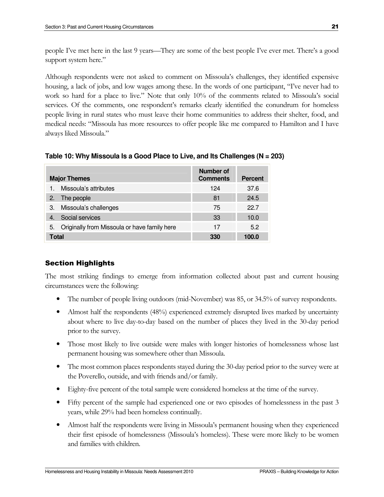people I've met here in the last 9 years—They are some of the best people I've ever met. There's a good support system here."

Although respondents were not asked to comment on Missoula's challenges, they identified expensive housing, a lack of jobs, and low wages among these. In the words of one participant, "I've never had to work so hard for a place to live." Note that only 10% of the comments related to Missoula's social services. Of the comments, one respondent's remarks clearly identified the conundrum for homeless people living in rural states who must leave their home communities to address their shelter, food, and medical needs: "Missoula has more resources to offer people like me compared to Hamilton and I have always liked Missoula."

**Table 10: Why Missoula Is a Good Place to Live, and Its Challenges (N = 203)** 

| <b>Major Themes</b>                                | <b>Number of</b><br><b>Comments</b> | <b>Percent</b> |
|----------------------------------------------------|-------------------------------------|----------------|
| Missoula's attributes                              | 124                                 | 37.6           |
| The people<br>2.                                   | 81                                  | 24.5           |
| Missoula's challenges<br>3.                        | 75                                  | 22.7           |
| Social services                                    | 33                                  | 10.0           |
| Originally from Missoula or have family here<br>5. | 17                                  | 5.2            |
| <b>Total</b>                                       | 330                                 | 100.0          |

# Section Highlights

The most striking findings to emerge from information collected about past and current housing circumstances were the following:

- The number of people living outdoors (mid-November) was 85, or 34.5% of survey respondents.
- Almost half the respondents (48%) experienced extremely disrupted lives marked by uncertainty about where to live day-to-day based on the number of places they lived in the 30-day period prior to the survey.
- Those most likely to live outside were males with longer histories of homelessness whose last permanent housing was somewhere other than Missoula.
- The most common places respondents stayed during the 30-day period prior to the survey were at the Poverello, outside, and with friends and/or family.
- Eighty-five percent of the total sample were considered homeless at the time of the survey.
- Fifty percent of the sample had experienced one or two episodes of homelessness in the past 3 years, while 29% had been homeless continually.
- Almost half the respondents were living in Missoula's permanent housing when they experienced their first episode of homelessness (Missoula's homeless). These were more likely to be women and families with children.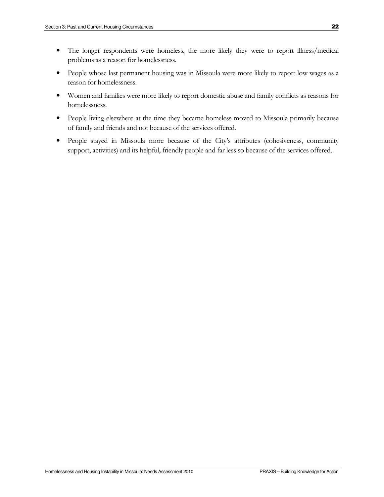- The longer respondents were homeless, the more likely they were to report illness/medical problems as a reason for homelessness.
- People whose last permanent housing was in Missoula were more likely to report low wages as a reason for homelessness.
- Women and families were more likely to report domestic abuse and family conflicts as reasons for homelessness.
- People living elsewhere at the time they became homeless moved to Missoula primarily because of family and friends and not because of the services offered.
- People stayed in Missoula more because of the City's attributes (cohesiveness, community support, activities) and its helpful, friendly people and far less so because of the services offered.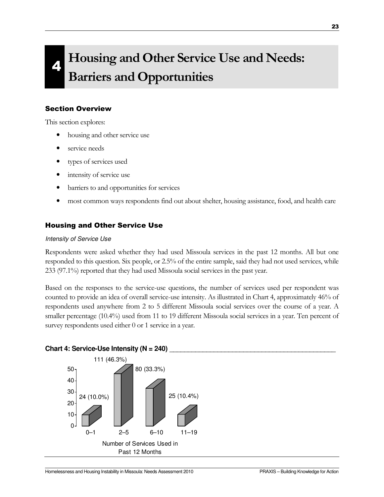# 4 Housing and Other Service Use and Needs: Barriers and Opportunities

## Section Overview

This section explores:

- housing and other service use
- service needs
- types of services used
- intensity of service use
- barriers to and opportunities for services
- most common ways respondents find out about shelter, housing assistance, food, and health care

# Housing and Other Service Use

#### Intensity of Service Use

Respondents were asked whether they had used Missoula services in the past 12 months. All but one responded to this question. Six people, or 2.5% of the entire sample, said they had not used services, while 233 (97.1%) reported that they had used Missoula social services in the past year.

Based on the responses to the service-use questions, the number of services used per respondent was counted to provide an idea of overall service-use intensity. As illustrated in Chart 4, approximately 46% of respondents used anywhere from 2 to 5 different Missoula social services over the course of a year. A smaller percentage (10.4%) used from 11 to 19 different Missoula social services in a year. Ten percent of survey respondents used either 0 or 1 service in a year.

#### Chart 4: Service-Use Intensity (N = 240)

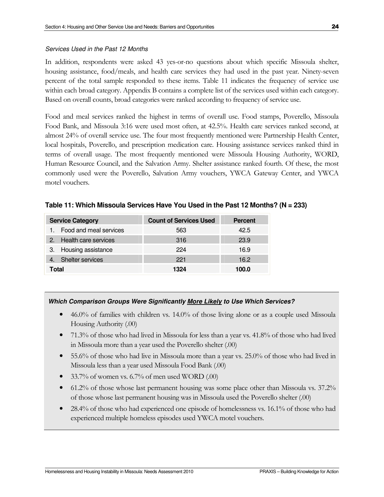#### Services Used in the Past 12 Months

In addition, respondents were asked 43 yes-or-no questions about which specific Missoula shelter, housing assistance, food/meals, and health care services they had used in the past year. Ninety-seven percent of the total sample responded to these items. Table 11 indicates the frequency of service use within each broad category. Appendix B contains a complete list of the services used within each category. Based on overall counts, broad categories were ranked according to frequency of service use.

Food and meal services ranked the highest in terms of overall use. Food stamps, Poverello, Missoula Food Bank, and Missoula 3:16 were used most often, at 42.5%. Health care services ranked second, at almost 24% of overall service use. The four most frequently mentioned were Partnership Health Center, local hospitals, Poverello, and prescription medication care. Housing assistance services ranked third in terms of overall usage. The most frequently mentioned were Missoula Housing Authority, WORD, Human Resource Council, and the Salvation Army. Shelter assistance ranked fourth. Of these, the most commonly used were the Poverello, Salvation Army vouchers, YWCA Gateway Center, and YWCA motel vouchers.

| <b>Service Category</b> | <b>Count of Services Used</b> | <b>Percent</b> |
|-------------------------|-------------------------------|----------------|
| Food and meal services  | 563                           | 42.5           |
| 2. Health care services | 316                           | 23.9           |
| 3. Housing assistance   | 224                           | 16.9           |
| 4. Shelter services     | 221                           | 16.2           |
| Total                   | 1324                          | 100.0          |

**Table 11: Which Missoula Services Have You Used in the Past 12 Months? (N = 233)** 

# **Which Comparison Groups Were Significantly More Likely to Use Which Services?**

- 46.0% of families with children vs. 14.0% of those living alone or as a couple used Missoula Housing Authority (.00)
- 71.3% of those who had lived in Missoula for less than a year vs. 41.8% of those who had lived in Missoula more than a year used the Poverello shelter (.00)
- 55.6% of those who had live in Missoula more than a year vs. 25.0% of those who had lived in Missoula less than a year used Missoula Food Bank (.00)
- 33.7% of women vs. 6.7% of men used WORD (.00)
- 61.2% of those whose last permanent housing was some place other than Missoula vs. 37.2% of those whose last permanent housing was in Missoula used the Poverello shelter (.00)
- 28.4% of those who had experienced one episode of homelessness vs. 16.1% of those who had experienced multiple homeless episodes used YWCA motel vouchers.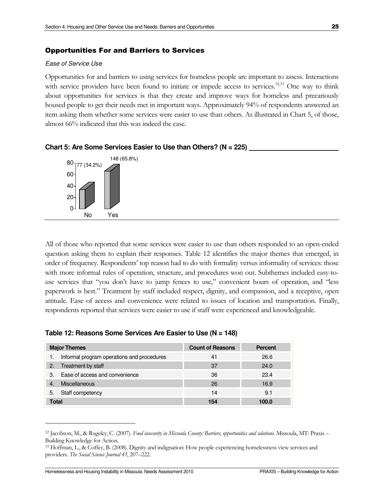#### Opportunities For and Barriers to Services

#### Ease of Service Use

Opportunities for and barriers to using services for homeless people are important to assess. Interactions with service providers have been found to initiate or impede access to services.<sup>32,33</sup> One way to think about opportunities for services is that they create and improve ways for homeless and precariously housed people to get their needs met in important ways. Approximately 94% of respondents answered an item asking them whether some services were easier to use than others. As illustrated in Chart 5, of those, almost 66% indicated that this was indeed the case.



**Chart 5: Are Some Services Easier to Use than Others? (N = 225)** \_\_\_\_\_\_\_\_\_\_\_\_\_\_\_\_\_\_\_\_\_\_\_

All of those who reported that some services were easier to use than others responded to an open-ended question asking them to explain their responses. Table 12 identifies the major themes that emerged, in order of frequency. Respondents' top reason had to do with formality versus informality of services: those with more informal rules of operation, structure, and procedures won out. Subthemes included easy-touse services that "you don't have to jump fences to use," convenient hours of operation, and "less paperwork is best." Treatment by staff included respect, dignity, and compassion, and a receptive, open attitude. Ease of access and convenience were related to issues of location and transportation. Finally, respondents reported that services were easier to use if staff were experienced and knowledgeable.

|                | <b>Major Themes</b>                        | <b>Count of Reasons</b> | <b>Percent</b> |
|----------------|--------------------------------------------|-------------------------|----------------|
|                | Informal program operations and procedures | 41                      | 26.6           |
| 2.             | Treatment by staff                         | 37                      | 24.0           |
| З.             | Ease of access and convenience             | 36                      | 23.4           |
| $\overline{4}$ | Miscellaneous                              | 26                      | 16.9           |
| 5.             | Staff competency                           | 14                      | 9.1            |
| Total          |                                            | 154                     | 100.0          |

<sup>&</sup>lt;sup>32</sup> Jacobson, M., & Rugeley, C. (2007). Food insecurity in Missoula County: Barriers, opportunities and solutions. Missoula, MT: Praxis – Building Knowledge for Action.

<sup>33</sup> Hoffman, L., & Coffey, B. (2008). Dignity and indignation: How people experiencing homelessness view services and providers. The Social Science Journal 45, 207-222.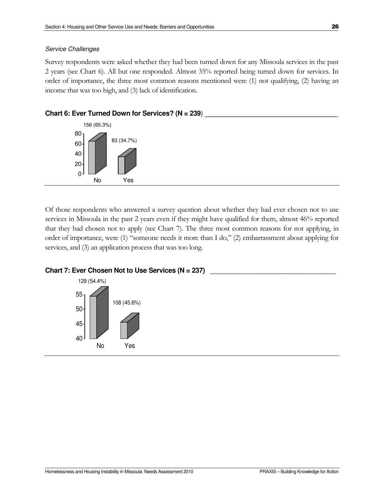#### Service Challenges

Survey respondents were asked whether they had been turned down for any Missoula services in the past 2 years (see Chart 6). All but one responded. Almost 35% reported being turned down for services. In order of importance, the three most common reasons mentioned were (1) not qualifying, (2) having an income that was too high, and (3) lack of identification.



Of those respondents who answered a survey question about whether they had ever chosen not to use services in Missoula in the past 2 years even if they might have qualified for them, almost 46% reported that they had chosen not to apply (see Chart 7). The three most common reasons for not applying, in order of importance, were (1) "someone needs it more than I do," (2) embarrassment about applying for services, and (3) an application process that was too long.



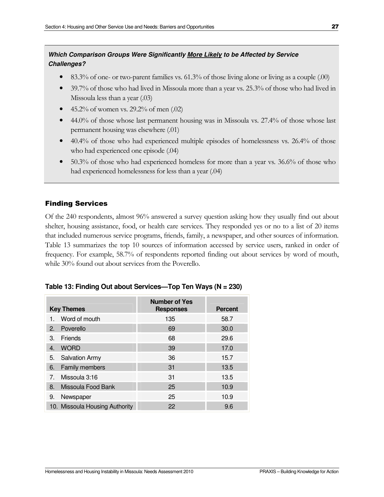# **Which Comparison Groups Were Significantly More Likely to be Affected by Service Challenges?**

- 83.3% of one- or two-parent families vs. 61.3% of those living alone or living as a couple (.00)
- 39.7% of those who had lived in Missoula more than a year vs. 25.3% of those who had lived in Missoula less than a year (.03)
- 45.2% of women vs. 29.2% of men  $(.02)$
- 44.0% of those whose last permanent housing was in Missoula vs. 27.4% of those whose last permanent housing was elsewhere (.01)
- 40.4% of those who had experienced multiple episodes of homelessness vs. 26.4% of those who had experienced one episode (.04)
- 50.3% of those who had experienced homeless for more than a year vs. 36.6% of those who had experienced homelessness for less than a year (.04)

# Finding Services

Of the 240 respondents, almost 96% answered a survey question asking how they usually find out about shelter, housing assistance, food, or health care services. They responded yes or no to a list of 20 items that included numerous service programs, friends, family, a newspaper, and other sources of information. Table 13 summarizes the top 10 sources of information accessed by service users, ranked in order of frequency. For example, 58.7% of respondents reported finding out about services by word of mouth, while 30% found out about services from the Poverello.

|    | <b>Key Themes</b>              | <b>Number of Yes</b><br><b>Responses</b> | <b>Percent</b> |
|----|--------------------------------|------------------------------------------|----------------|
|    | Word of mouth                  | 135                                      | 58.7           |
| 2. | Poverello                      | 69                                       | 30.0           |
| 3. | Friends                        | 68                                       | 29.6           |
| 4. | <b>WORD</b>                    | 39                                       | 17.0           |
| 5. | <b>Salvation Army</b>          | 36                                       | 15.7           |
| 6. | Family members                 | 31                                       | 13.5           |
| 7. | Missoula 3:16                  | 31                                       | 13.5           |
| 8. | Missoula Food Bank             | 25                                       | 10.9           |
| 9. | Newspaper                      | 25                                       | 10.9           |
|    | 10. Missoula Housing Authority | 22                                       | 9.6            |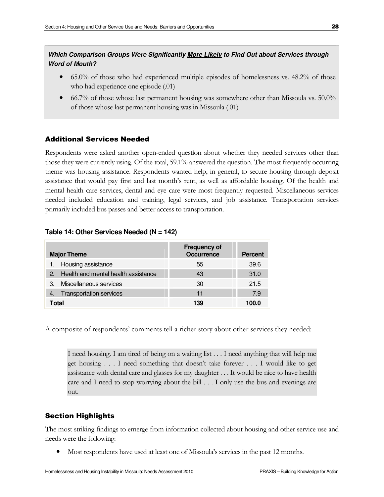# **Which Comparison Groups Were Significantly More Likely to Find Out about Services through Word of Mouth?**

- 65.0% of those who had experienced multiple episodes of homelessness vs. 48.2% of those who had experience one episode (.01)
- 66.7% of those whose last permanent housing was somewhere other than Missoula vs. 50.0% of those whose last permanent housing was in Missoula (.01)

## Additional Services Needed

Respondents were asked another open-ended question about whether they needed services other than those they were currently using. Of the total, 59.1% answered the question. The most frequently occurring theme was housing assistance. Respondents wanted help, in general, to secure housing through deposit assistance that would pay first and last month's rent, as well as affordable housing. Of the health and mental health care services, dental and eye care were most frequently requested. Miscellaneous services needed included education and training, legal services, and job assistance. Transportation services primarily included bus passes and better access to transportation.

| <b>Major Theme</b>                     | <b>Frequency of</b><br><b>Occurrence</b> | <b>Percent</b> |
|----------------------------------------|------------------------------------------|----------------|
| 1. Housing assistance                  | 55                                       | 39.6           |
| 2. Health and mental health assistance | 43                                       | 31.0           |
| 3. Miscellaneous services              | 30                                       | 21.5           |
| <b>Transportation services</b>         | 11                                       | 7.9            |
| Total                                  | 139                                      | 100.0          |

#### **Table 14: Other Services Needed (N = 142)**

A composite of respondents' comments tell a richer story about other services they needed:

I need housing. I am tired of being on a waiting list . . . I need anything that will help me get housing . . . I need something that doesn't take forever . . . I would like to get assistance with dental care and glasses for my daughter . . . It would be nice to have health care and I need to stop worrying about the bill . . . I only use the bus and evenings are out.

# Section Highlights

The most striking findings to emerge from information collected about housing and other service use and needs were the following:

• Most respondents have used at least one of Missoula's services in the past 12 months.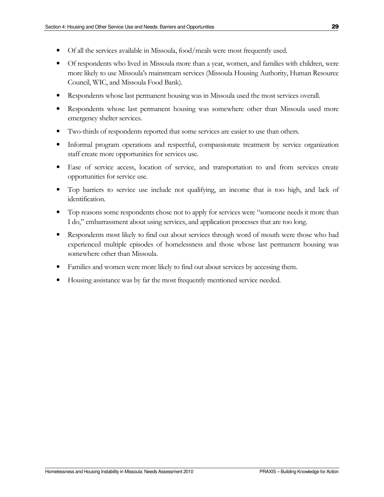- 
- Of all the services available in Missoula, food/meals were most frequently used.
- Of respondents who lived in Missoula more than a year, women, and families with children, were more likely to use Missoula's mainstream services (Missoula Housing Authority, Human Resource Council, WIC, and Missoula Food Bank).
- Respondents whose last permanent housing was in Missoula used the most services overall.
- Respondents whose last permanent housing was somewhere other than Missoula used more emergency shelter services.
- Two-thirds of respondents reported that some services are easier to use than others.
- Informal program operations and respectful, compassionate treatment by service organization staff create more opportunities for services use.
- Ease of service access, location of service, and transportation to and from services create opportunities for service use.
- Top barriers to service use include not qualifying, an income that is too high, and lack of identification.
- Top reasons some respondents chose not to apply for services were "someone needs it more than I do," embarrassment about using services, and application processes that are too long.
- Respondents most likely to find out about services through word of mouth were those who had experienced multiple episodes of homelessness and those whose last permanent housing was somewhere other than Missoula.
- Families and women were more likely to find out about services by accessing them.
- Housing assistance was by far the most frequently mentioned service needed.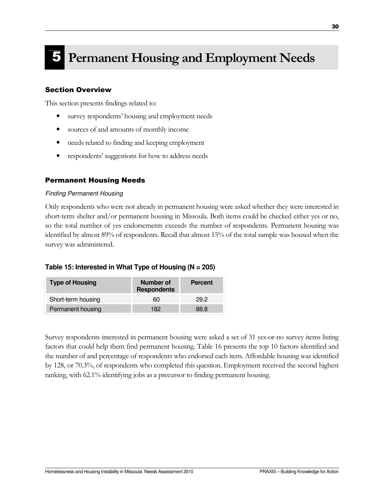# 5 Permanent Housing and Employment Needs

# Section Overview

This section presents findings related to:

- survey respondents' housing and employment needs
- sources of and amounts of monthly income
- needs related to finding and keeping employment
- respondents' suggestions for how to address needs

## Permanent Housing Needs

#### Finding Permanent Housing

Only respondents who were not already in permanent housing were asked whether they were interested in short-term shelter and/or permanent housing in Missoula. Both items could be checked either yes or no, so the total number of yes endorsements exceeds the number of respondents. Permanent housing was identified by almost 89% of respondents. Recall that almost 15% of the total sample was housed when the survey was administered.

#### **Table 15: Interested in What Type of Housing (N = 205)**

| <b>Type of Housing</b> | Number of<br><b>Respondents</b> | <b>Percent</b> |  |
|------------------------|---------------------------------|----------------|--|
| Short-term housing     | 60                              | 29.2           |  |
| Permanent housing      | 182                             | 88.8           |  |

Survey respondents interested in permanent housing were asked a set of 31 yes-or-no survey items listing factors that could help them find permanent housing. Table 16 presents the top 10 factors identified and the number of and percentage of respondents who endorsed each item. Affordable housing was identified by 128, or 70.3%, of respondents who completed this question. Employment received the second highest ranking, with 62.1% identifying jobs as a precursor to finding permanent housing.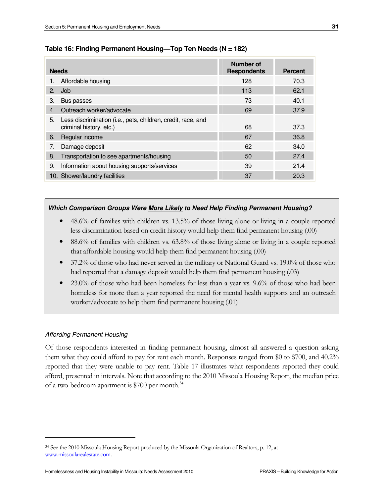| <b>Needs</b> |                                                                                         | Number of<br><b>Respondents</b> | Percent |
|--------------|-----------------------------------------------------------------------------------------|---------------------------------|---------|
| 1.           | Affordable housing                                                                      | 128                             | 70.3    |
| 2.           | Job                                                                                     | 113                             | 62.1    |
| З.           | Bus passes                                                                              | 73                              | 40.1    |
| 4.           | Outreach worker/advocate                                                                | 69                              | 37.9    |
| 5.           | Less discrimination (i.e., pets, children, credit, race, and<br>criminal history, etc.) | 68                              | 37.3    |
| 6.           | Regular income                                                                          | 67                              | 36.8    |
| 7.           | Damage deposit                                                                          | 62                              | 34.0    |
| 8.           | Transportation to see apartments/housing                                                | 50                              | 27.4    |
| 9.           | Information about housing supports/services                                             | 39                              | 21.4    |
|              | 10. Shower/laundry facilities                                                           | 37                              | 20.3    |

#### **Table 16: Finding Permanent Housing—Top Ten Needs (N = 182)**

#### **Which Comparison Groups Were More Likely to Need Help Finding Permanent Housing?**

- 48.6% of families with children vs. 13.5% of those living alone or living in a couple reported less discrimination based on credit history would help them find permanent housing (.00)
- 88.6% of families with children vs. 63.8% of those living alone or living in a couple reported that affordable housing would help them find permanent housing (.00)
- 37.2% of those who had never served in the military or National Guard vs. 19.0% of those who had reported that a damage deposit would help them find permanent housing (.03)
- 23.0% of those who had been homeless for less than a year vs. 9.6% of those who had been homeless for more than a year reported the need for mental health supports and an outreach worker/advocate to help them find permanent housing (.01)

#### Affording Permanent Housing

 $\overline{a}$ 

Of those respondents interested in finding permanent housing, almost all answered a question asking them what they could afford to pay for rent each month. Responses ranged from \$0 to \$700, and 40.2% reported that they were unable to pay rent. Table 17 illustrates what respondents reported they could afford, presented in intervals. Note that according to the 2010 Missoula Housing Report, the median price of a two-bedroom apartment is \$700 per month.<sup>34</sup>

<sup>34</sup> See the 2010 Missoula Housing Report produced by the Missoula Organization of Realtors, p. 12, at www.missoularealestate.com.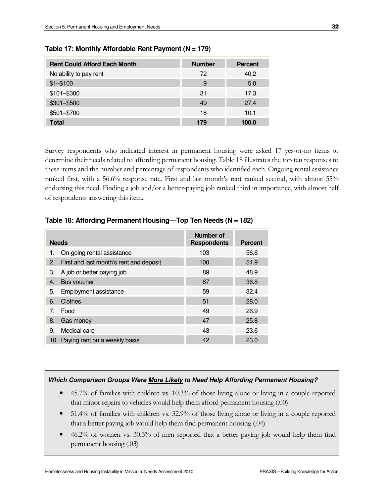| <b>Rent Could Afford Each Month</b> | <b>Number</b> | <b>Percent</b> |
|-------------------------------------|---------------|----------------|
| No ability to pay rent              | 72            | 40.2           |
| $$1 - $100$                         | 9             | 5.0            |
| $$101 - $300$                       | 31            | 17.3           |
| \$301-\$500                         | 49            | 27.4           |
| \$501-\$700                         | 18            | 10.1           |
| <b>Total</b>                        | 179           | 100.0          |

**Table 17: Monthly Affordable Rent Payment (N = 179)**

Survey respondents who indicated interest in permanent housing were asked 17 yes-or-no items to determine their needs related to affording permanent housing. Table 18 illustrates the top ten responses to these items and the number and percentage of respondents who identified each. Ongoing rental assistance ranked first, with a 56.6% response rate. First and last month's rent ranked second, with almost 55% endorsing this need. Finding a job and/or a better-paying job ranked third in importance, with almost half of respondents answering this item.

| <b>Needs</b>                                  | Number of<br><b>Respondents</b> | <b>Percent</b> |
|-----------------------------------------------|---------------------------------|----------------|
| On-going rental assistance<br>1.              | 103                             | 56.6           |
| First and last month's rent and deposit<br>2. | 100                             | 54.9           |
| A job or better paying job<br>З.              | 89                              | 48.9           |
| Bus voucher<br>4.                             | 67                              | 36.8           |
| Employment assistance<br>5.                   | 59                              | 32.4           |
| Clothes<br>6.                                 | 51                              | 28.0           |
| Food<br>7 <sub>1</sub>                        | 49                              | 26.9           |
| 8.<br>Gas money                               | 47                              | 25.8           |
| Medical care<br>9.                            | 43                              | 23.6           |
| 10. Paying rent on a weekly basis             | 42                              | 23.0           |

#### **Table 18: Affording Permanent Housing—Top Ten Needs (N = 182)**

#### **Which Comparison Groups Were More Likely to Need Help Affording Permanent Housing?**

- 45.7% of families with children vs. 10.3% of those living alone or living in a couple reported that minor repairs to vehicles would help them afford permanent housing (.00)
- 51.4% of families with children vs. 32.9% of those living alone or living in a couple reported that a better paying job would help them find permanent housing (.04)
- 46.2% of women vs. 30.3% of men reported that a better paying job would help them find permanent housing (.03)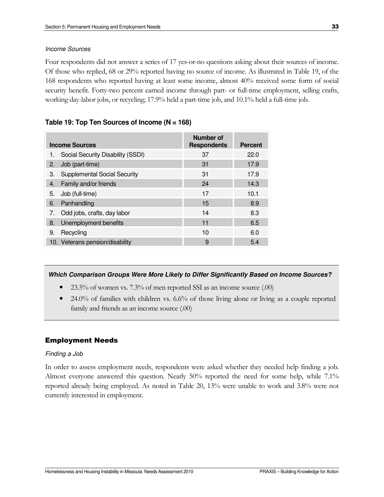#### Income Sources

Four respondents did not answer a series of 17 yes-or-no questions asking about their sources of income. Of those who replied, 68 or 29% reported having no source of income. As illustrated in Table 19, of the 168 respondents who reported having at least some income, almost 40% received some form of social security benefit. Forty-two percent earned income through part- or full-time employment, selling crafts, working day-labor jobs, or recycling; 17.9% held a part-time job, and 10.1% held a full-time job.

#### **Table 19: Top Ten Sources of Income (N = 168)**

| <b>Income Sources</b> |                                     | Number of<br><b>Respondents</b> | <b>Percent</b> |
|-----------------------|-------------------------------------|---------------------------------|----------------|
|                       | Social Security Disability (SSDI)   | 37                              | 22.0           |
| 2.                    | Job (part-time)                     | 31                              | 17.9           |
| З.                    | <b>Supplemental Social Security</b> | 31                              | 17.9           |
| 4.                    | Family and/or friends               | 24                              | 14.3           |
| 5.                    | Job (full-time)                     | 17                              | 10.1           |
| 6.                    | Panhandling                         | 15                              | 8.9            |
| 7.                    | Odd jobs, crafts, day labor         | 14                              | 8.3            |
| 8.                    | Unemployment benefits               | 11                              | 6.5            |
| 9.                    | Recycling                           | 10                              | 6.0            |
|                       | 10. Veterans pension/disability     | 9                               | 5.4            |

#### **Which Comparison Groups Were More Likely to Differ Significantly Based on Income Sources?**

- 23.5% of women vs. 7.3% of men reported SSI as an income source (.00)
- 24.0% of families with children vs. 6.6% of those living alone or living as a couple reported family and friends as an income source (.00)

#### Employment Needs

#### Finding a Job

In order to assess employment needs, respondents were asked whether they needed help finding a job. Almost everyone answered this question. Nearly 50% reported the need for some help, while 7.1% reported already being employed. As noted in Table 20, 13% were unable to work and 3.8% were not currently interested in employment.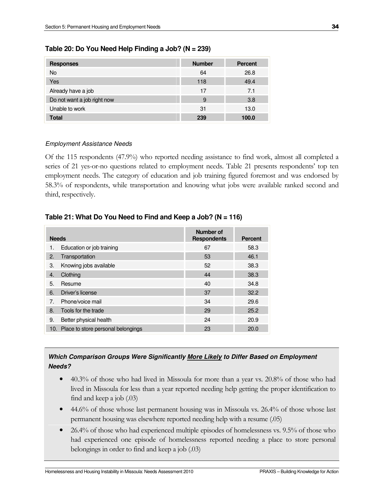| <b>Responses</b>            | <b>Number</b> | <b>Percent</b> |
|-----------------------------|---------------|----------------|
| <b>No</b>                   | 64            | 26.8           |
| Yes                         | 118           | 49.4           |
| Already have a job          | 17            | 7.1            |
| Do not want a job right now | 9             | 3.8            |
| Unable to work              | 31            | 13.0           |
| <b>Total</b>                | 239           | 100.0          |

#### **Table 20: Do You Need Help Finding a Job? (N = 239)**

#### Employment Assistance Needs

Of the 115 respondents (47.9%) who reported needing assistance to find work, almost all completed a series of 21 yes-or-no questions related to employment needs. Table 21 presents respondents' top ten employment needs. The category of education and job training figured foremost and was endorsed by 58.3% of respondents, while transportation and knowing what jobs were available ranked second and third, respectively.

| <b>Needs</b> |                                        | Number of<br><b>Respondents</b> | <b>Percent</b> |
|--------------|----------------------------------------|---------------------------------|----------------|
| 1.           | Education or job training              | 67                              | 58.3           |
| 2.           | Transportation                         | 53                              | 46.1           |
| 3.           | Knowing jobs available                 | 52                              | 38.3           |
| 4.           | Clothing                               | 44                              | 38.3           |
| 5.           | Resume                                 | 40                              | 34.8           |
| 6.           | Driver's license                       | 37                              | 32.2           |
| 7.           | Phone/voice mail                       | 34                              | 29.6           |
| 8.           | Tools for the trade                    | 29                              | 25.2           |
| 9.           | Better physical health                 | 24                              | 20.9           |
|              | 10. Place to store personal belongings | 23                              | 20.0           |

## **Table 21: What Do You Need to Find and Keep a Job? (N = 116)**

## **Which Comparison Groups Were Significantly More Likely to Differ Based on Employment Needs?**

- 40.3% of those who had lived in Missoula for more than a year vs. 20.8% of those who had lived in Missoula for less than a year reported needing help getting the proper identification to find and keep a job (.03)
- 44.6% of those whose last permanent housing was in Missoula vs. 26.4% of those whose last permanent housing was elsewhere reported needing help with a resume (.05)
- 26.4% of those who had experienced multiple episodes of homelessness vs. 9.5% of those who had experienced one episode of homelessness reported needing a place to store personal belongings in order to find and keep a job (.03)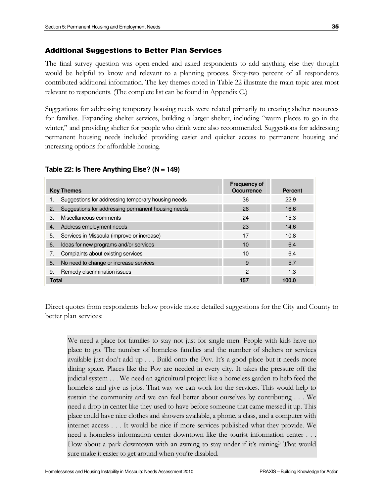#### Additional Suggestions to Better Plan Services

The final survey question was open-ended and asked respondents to add anything else they thought would be helpful to know and relevant to a planning process. Sixty-two percent of all respondents contributed additional information. The key themes noted in Table 22 illustrate the main topic area most relevant to respondents. (The complete list can be found in Appendix C.)

Suggestions for addressing temporary housing needs were related primarily to creating shelter resources for families. Expanding shelter services, building a larger shelter, including "warm places to go in the winter," and providing shelter for people who drink were also recommended. Suggestions for addressing permanent housing needs included providing easier and quicker access to permanent housing and increasing options for affordable housing.

#### **Table 22: Is There Anything Else? (N = 149)**

| <b>Key Themes</b> |                                                    | <b>Frequency of</b><br><b>Occurrence</b> | <b>Percent</b> |
|-------------------|----------------------------------------------------|------------------------------------------|----------------|
|                   | Suggestions for addressing temporary housing needs | 36                                       | 22.9           |
| 2.                | Suggestions for addressing permanent housing needs | 26                                       | 16.6           |
| 3.                | Miscellaneous comments                             | 24                                       | 15.3           |
| 4.                | Address employment needs                           | 23                                       | 14.6           |
| 5.                | Services in Missoula (improve or increase)         | 17                                       | 10.8           |
| 6.                | Ideas for new programs and/or services             | 10                                       | 6.4            |
| 7.                | Complaints about existing services                 | 10                                       | 6.4            |
| 8.                | No need to change or increase services             | 9                                        | 5.7            |
| 9.                | Remedy discrimination issues                       | $\mathcal{P}$                            | 1.3            |
| <b>Total</b>      |                                                    | 157                                      | 100.0          |

Direct quotes from respondents below provide more detailed suggestions for the City and County to better plan services:

We need a place for families to stay not just for single men. People with kids have no place to go. The number of homeless families and the number of shelters or services available just don't add up . . . Build onto the Pov. It's a good place but it needs more dining space. Places like the Pov are needed in every city. It takes the pressure off the judicial system . . . We need an agricultural project like a homeless garden to help feed the homeless and give us jobs. That way we can work for the services. This would help to sustain the community and we can feel better about ourselves by contributing . . . We need a drop-in center like they used to have before someone that came messed it up. This place could have nice clothes and showers available, a phone, a class, and a computer with internet access . . . It would be nice if more services published what they provide. We need a homeless information center downtown like the tourist information center . . . How about a park downtown with an awning to stay under if it's raining? That would sure make it easier to get around when you're disabled.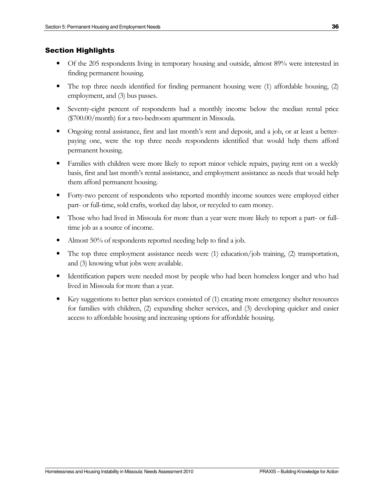#### Section Highlights

- Of the 205 respondents living in temporary housing and outside, almost 89% were interested in finding permanent housing.
- The top three needs identified for finding permanent housing were (1) affordable housing, (2) employment, and (3) bus passes.
- Seventy-eight percent of respondents had a monthly income below the median rental price (\$700.00/month) for a two-bedroom apartment in Missoula.
- Ongoing rental assistance, first and last month's rent and deposit, and a job, or at least a betterpaying one, were the top three needs respondents identified that would help them afford permanent housing.
- Families with children were more likely to report minor vehicle repairs, paying rent on a weekly basis, first and last month's rental assistance, and employment assistance as needs that would help them afford permanent housing.
- Forty-two percent of respondents who reported monthly income sources were employed either part- or full-time, sold crafts, worked day labor, or recycled to earn money.
- Those who had lived in Missoula for more than a year were more likely to report a part- or fulltime job as a source of income.
- Almost 50% of respondents reported needing help to find a job.
- The top three employment assistance needs were (1) education/job training, (2) transportation, and (3) knowing what jobs were available.
- Identification papers were needed most by people who had been homeless longer and who had lived in Missoula for more than a year.
- Key suggestions to better plan services consisted of (1) creating more emergency shelter resources for families with children, (2) expanding shelter services, and (3) developing quicker and easier access to affordable housing and increasing options for affordable housing.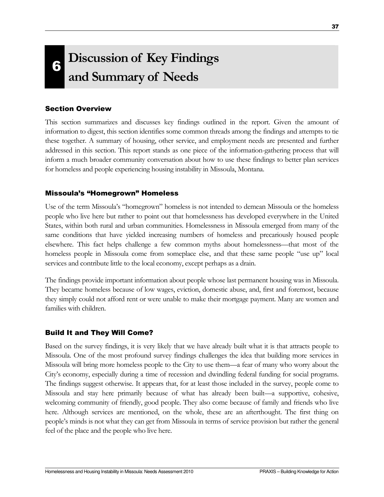# 6 Discussion of Key Findings and Summary of Needs

# Section Overview

This section summarizes and discusses key findings outlined in the report. Given the amount of information to digest, this section identifies some common threads among the findings and attempts to tie these together. A summary of housing, other service, and employment needs are presented and further addressed in this section. This report stands as one piece of the information-gathering process that will inform a much broader community conversation about how to use these findings to better plan services for homeless and people experiencing housing instability in Missoula, Montana.

## Missoula's "Homegrown" Homeless

Use of the term Missoula's "homegrown" homeless is not intended to demean Missoula or the homeless people who live here but rather to point out that homelessness has developed everywhere in the United States, within both rural and urban communities. Homelessness in Missoula emerged from many of the same conditions that have yielded increasing numbers of homeless and precariously housed people elsewhere. This fact helps challenge a few common myths about homelessness—that most of the homeless people in Missoula come from someplace else, and that these same people "use up" local services and contribute little to the local economy, except perhaps as a drain.

The findings provide important information about people whose last permanent housing was in Missoula. They became homeless because of low wages, eviction, domestic abuse, and, first and foremost, because they simply could not afford rent or were unable to make their mortgage payment. Many are women and families with children.

# Build It and They Will Come?

Based on the survey findings, it is very likely that we have already built what it is that attracts people to Missoula. One of the most profound survey findings challenges the idea that building more services in Missoula will bring more homeless people to the City to use them—a fear of many who worry about the City's economy, especially during a time of recession and dwindling federal funding for social programs. The findings suggest otherwise. It appears that, for at least those included in the survey, people come to Missoula and stay here primarily because of what has already been built—a supportive, cohesive, welcoming community of friendly, good people. They also come because of family and friends who live here. Although services are mentioned, on the whole, these are an afterthought. The first thing on people's minds is not what they can get from Missoula in terms of service provision but rather the general feel of the place and the people who live here.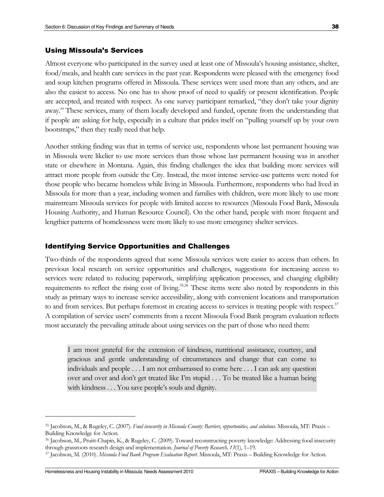Almost everyone who participated in the survey used at least one of Missoula's housing assistance, shelter, food/meals, and health care services in the past year. Respondents were pleased with the emergency food and soup kitchen programs offered in Missoula. These services were used more than any others, and are also the easiest to access. No one has to show proof of need to qualify or present identification. People are accepted, and treated with respect. As one survey participant remarked, "they don't take your dignity away." These services, many of them locally developed and funded, operate from the understanding that if people are asking for help, especially in a culture that prides itself on "pulling yourself up by your own bootstraps," then they really need that help.

Another striking finding was that in terms of service use, respondents whose last permanent housing was in Missoula were likelier to use more services than those whose last permanent housing was in another state or elsewhere in Montana. Again, this finding challenges the idea that building more services will attract more people from outside the City. Instead, the most intense service-use patterns were noted for those people who became homeless while living in Missoula. Furthermore, respondents who had lived in Missoula for more than a year, including women and families with children, were more likely to use more mainstream Missoula services for people with limited access to resources (Missoula Food Bank, Missoula Housing Authority, and Human Resource Council). On the other hand, people with more frequent and lengthier patterns of homelessness were more likely to use more emergency shelter services.

#### Identifying Service Opportunities and Challenges

Two-thirds of the respondents agreed that some Missoula services were easier to access than others. In previous local research on service opportunities and challenges, suggestions for increasing access to services were related to reducing paperwork, simplifying application processes, and changing eligibility requirements to reflect the rising cost of living.<sup>35,36</sup> These items were also noted by respondents in this study as primary ways to increase service accessibility, along with convenient locations and transportation to and from services. But perhaps foremost in creating access to services is treating people with respect.<sup>37</sup> A compilation of service users' comments from a recent Missoula Food Bank program evaluation reflects most accurately the prevailing attitude about using services on the part of those who need them:

I am most grateful for the extension of kindness, nutritional assistance, courtesy, and gracious and gentle understanding of circumstances and change that can come to individuals and people . . . I am not embarrassed to come here . . . I can ask any question over and over and don't get treated like I'm stupid . . . To be treated like a human being with kindness . . . You save people's souls and dignity.

<sup>&</sup>lt;sup>35</sup> Jacobson, M., & Rugeley, C. (2007). Food insecurity in Missoula County: Barriers, opportunities, and solutions. Missoula, MT: Praxis -Building Knowledge for Action.

<sup>36</sup> Jacobson, M., Pruitt-Chapin, K., & Rugeley, C. (2009). Toward reconstructing poverty knowledge: Addressing food insecurity through grassroots research design and implementation. Journal of Poverty Research, 13(1), 1–19.

<sup>&</sup>lt;sup>37</sup> Jacobson, M. (2010). Missoula Food Bank Program Evaluation Report. Missoula, MT: Praxis - Building Knowledge for Action.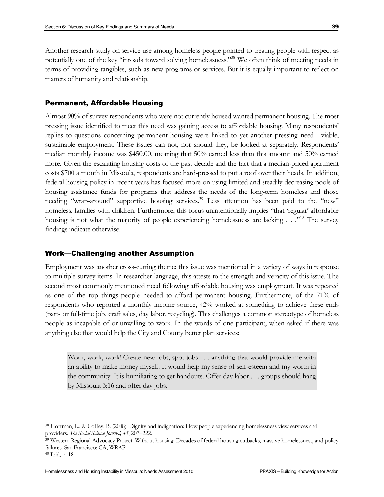Another research study on service use among homeless people pointed to treating people with respect as potentially one of the key "inroads toward solving homelessness."<sup>38</sup> We often think of meeting needs in terms of providing tangibles, such as new programs or services. But it is equally important to reflect on matters of humanity and relationship.

#### Permanent, Affordable Housing

Almost 90% of survey respondents who were not currently housed wanted permanent housing. The most pressing issue identified to meet this need was gaining access to affordable housing. Many respondents' replies to questions concerning permanent housing were linked to yet another pressing need—viable, sustainable employment. These issues can not, nor should they, be looked at separately. Respondents' median monthly income was \$450.00, meaning that 50% earned less than this amount and 50% earned more. Given the escalating housing costs of the past decade and the fact that a median-priced apartment costs \$700 a month in Missoula, respondents are hard-pressed to put a roof over their heads. In addition, federal housing policy in recent years has focused more on using limited and steadily decreasing pools of housing assistance funds for programs that address the needs of the long-term homeless and those needing "wrap-around" supportive housing services.<sup>39</sup> Less attention has been paid to the "new" homeless, families with children. Furthermore, this focus unintentionally implies "that 'regular' affordable housing is not what the majority of people experiencing homelessness are lacking . . .<sup>.,40</sup> The survey findings indicate otherwise.

#### Work—Challenging another Assumption

Employment was another cross-cutting theme: this issue was mentioned in a variety of ways in response to multiple survey items. In researcher language, this attests to the strength and veracity of this issue. The second most commonly mentioned need following affordable housing was employment. It was repeated as one of the top things people needed to afford permanent housing. Furthermore, of the 71% of respondents who reported a monthly income source, 42% worked at something to achieve these ends (part- or full-time job, craft sales, day labor, recycling). This challenges a common stereotype of homeless people as incapable of or unwilling to work. In the words of one participant, when asked if there was anything else that would help the City and County better plan services:

Work, work, work! Create new jobs, spot jobs . . . anything that would provide me with an ability to make money myself. It would help my sense of self-esteem and my worth in the community. It is humiliating to get handouts. Offer day labor . . . groups should hang by Missoula 3:16 and offer day jobs.

<sup>38</sup> Hoffman, L., & Coffey, B. (2008). Dignity and indignation: How people experiencing homelessness view services and providers. The Social Science Journal, 45, 207–222.

<sup>&</sup>lt;sup>39</sup> Western Regional Advocacy Project. Without housing: Decades of federal housing cutbacks, massive homelessness, and policy failures. San Francisco: CA, WRAP.

<sup>40</sup> Ibid, p. 18.

Homelessness and Housing Instability in Missoula: Needs Assessment 2010 PRAXIS – Building Knowledge for Action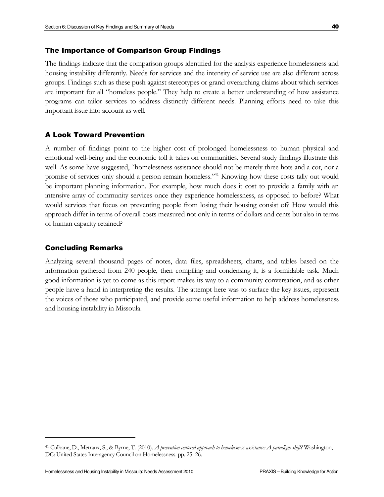#### The Importance of Comparison Group Findings

The findings indicate that the comparison groups identified for the analysis experience homelessness and housing instability differently. Needs for services and the intensity of service use are also different across groups. Findings such as these push against stereotypes or grand overarching claims about which services are important for all "homeless people." They help to create a better understanding of how assistance programs can tailor services to address distinctly different needs. Planning efforts need to take this important issue into account as well.

#### A Look Toward Prevention

A number of findings point to the higher cost of prolonged homelessness to human physical and emotional well-being and the economic toll it takes on communities. Several study findings illustrate this well. As some have suggested, "homelessness assistance should not be merely three hots and a cot, nor a promise of services only should a person remain homeless."<sup>41</sup> Knowing how these costs tally out would be important planning information. For example, how much does it cost to provide a family with an intensive array of community services once they experience homelessness, as opposed to before? What would services that focus on preventing people from losing their housing consist of? How would this approach differ in terms of overall costs measured not only in terms of dollars and cents but also in terms of human capacity retained?

#### Concluding Remarks

 $\overline{a}$ 

Analyzing several thousand pages of notes, data files, spreadsheets, charts, and tables based on the information gathered from 240 people, then compiling and condensing it, is a formidable task. Much good information is yet to come as this report makes its way to a community conversation, and as other people have a hand in interpreting the results. The attempt here was to surface the key issues, represent the voices of those who participated, and provide some useful information to help address homelessness and housing instability in Missoula.

<sup>&</sup>lt;sup>41</sup> Culhane, D., Metraux, S., & Byrne, T. (2010). A prevention-centered approach to homelessness assistance: A paradigm shift? Washington, DC: United States Interagency Council on Homelessness. pp. 25–26.

Homelessness and Housing Instability in Missoula: Needs Assessment 2010 PRAXIS – Building Knowledge for Action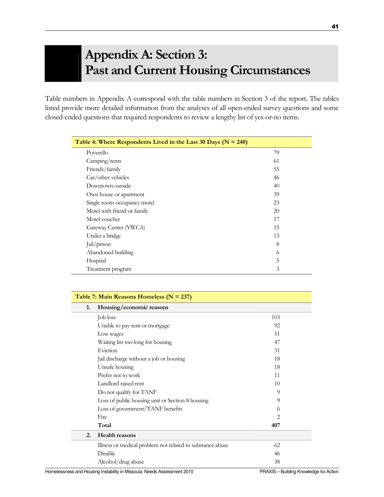# Appendix A: Section 3: Past and Current Housing Circumstances

Table numbers in Appendix A correspond with the table numbers in Section 3 of the report. The tables listed provide more detailed information from the analyses of all open-ended survey questions and some closed-ended questions that required respondents to review a lengthy list of yes-or-no items.

| Table 4: Where Respondents Lived in the Last 30 Days ( $N = 240$ ) |    |  |
|--------------------------------------------------------------------|----|--|
| Poverello                                                          | 79 |  |
| Camping/tents                                                      | 61 |  |
| Friends/family                                                     | 55 |  |
| $Car/other$ vehicles                                               | 46 |  |
| Downtown outside                                                   | 40 |  |
| Own house or apartment                                             | 39 |  |
| Single room occupancy motel                                        | 23 |  |
| Motel with friend or family                                        | 20 |  |
| Motel voucher                                                      | 17 |  |
| Gateway Center (YWCA)                                              | 15 |  |
| Under a bridge                                                     | 13 |  |
| Jail/prison                                                        | 8  |  |
| Abandoned building                                                 | 6  |  |
| Hospital                                                           | 5  |  |
| Treatment program                                                  | 3  |  |

| Table 7: Main Reasons Homeless ( $N = 237$ ) |                                                           |     |
|----------------------------------------------|-----------------------------------------------------------|-----|
| 1.                                           | Housing/economic reasons                                  |     |
|                                              | Job loss                                                  | 103 |
|                                              | Unable to pay rent or mortgage                            | 92  |
|                                              | Low wages                                                 | 51  |
|                                              | Waiting list too long for housing                         | 47  |
|                                              | Eviction                                                  | 31  |
|                                              | Jail discharge without a job or housing                   | 18  |
|                                              | Unsafe housing                                            | 18  |
|                                              | Prefer not to work                                        | 11  |
|                                              | Landlord raised rent                                      | 10  |
|                                              | Do not qualify for TANF                                   | 9   |
|                                              | Loss of public housing unit or Section 8 housing          | 9   |
|                                              | Loss of government/TANF benefits                          | 6   |
|                                              | Fire                                                      | 2   |
|                                              | Total                                                     | 407 |
| 2.                                           | <b>Health reasons</b>                                     |     |
|                                              | Illness or medical problem not related to substance abuse | 62  |
|                                              | Disable                                                   | 46  |
|                                              | Alcohol/drug abuse                                        | 38  |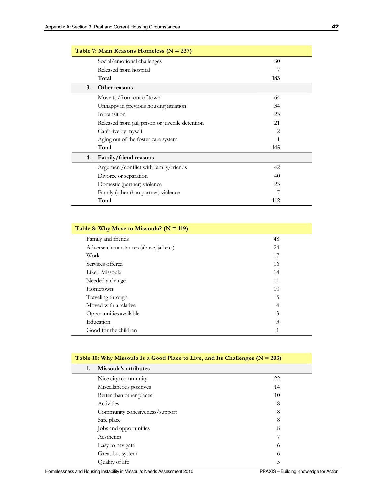| Table 7: Main Reasons Homeless ( $N = 237$ ) |                                                  |     |  |
|----------------------------------------------|--------------------------------------------------|-----|--|
|                                              | Social/emotional challenges                      | 30  |  |
|                                              | Released from hospital                           | 7   |  |
|                                              | Total                                            | 183 |  |
| 3.                                           | Other reasons                                    |     |  |
|                                              | Move to/from out of town                         | 64  |  |
|                                              | Unhappy in previous housing situation            | 34  |  |
|                                              | In transition                                    | 23  |  |
|                                              | Released from jail, prison or juvenile detention | 21  |  |
|                                              | Can't live by myself                             | 2   |  |
|                                              | Aging out of the foster care system              |     |  |
|                                              | Total                                            | 145 |  |
| 4.                                           | Family/friend reasons                            |     |  |
|                                              | Argument/conflict with family/friends            | 42  |  |
|                                              | Divorce or separation                            | 40  |  |
|                                              | Domestic (partner) violence                      | 23  |  |
|                                              | Family (other than partner) violence             |     |  |
|                                              | Total                                            | 112 |  |

| Table 8: Why Move to Missoula? ( $N = 119$ ) |    |
|----------------------------------------------|----|
| Family and friends                           | 48 |
| Adverse circumstances (abuse, jail etc.)     | 24 |
| Work                                         | 17 |
| Services offered                             | 16 |
| Liked Missoula                               | 14 |
| Needed a change                              | 11 |
| Hometown                                     | 10 |
| Traveling through                            | 5  |
| Moved with a relative                        | 4  |
| Opportunities available                      | 3  |
| Education                                    | 3  |
| Good for the children                        | 1  |

| Table 10: Why Missoula Is a Good Place to Live, and Its Challenges $(N = 203)$ |                                |          |
|--------------------------------------------------------------------------------|--------------------------------|----------|
| 1.                                                                             | Missoula's attributes          |          |
|                                                                                | Nice city/community            | 22       |
|                                                                                | Miscellaneous positives        | 14       |
|                                                                                | Better than other places       | 10       |
|                                                                                | Activities                     | 8        |
|                                                                                | Community cohesiveness/support | 8        |
|                                                                                | Safe place                     | 8        |
|                                                                                | Jobs and opportunities         | 8        |
|                                                                                | Aesthetics                     |          |
|                                                                                | Easy to navigate               | $\sigma$ |
|                                                                                | Great bus system               | 0        |
|                                                                                | Quality of life                | 5        |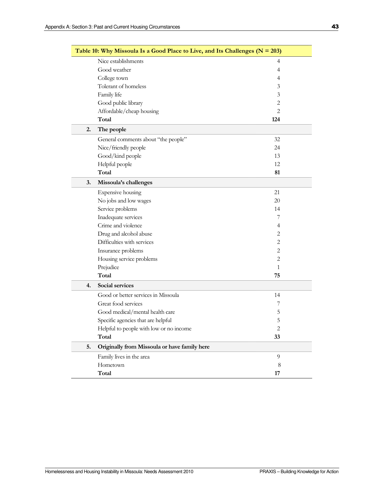|    | Table 10: Why Missoula Is a Good Place to Live, and Its Challenges ( $N = 203$ ) |                |  |
|----|----------------------------------------------------------------------------------|----------------|--|
|    | Nice establishments                                                              | $\overline{4}$ |  |
|    | Good weather                                                                     | 4              |  |
|    | College town                                                                     | 4              |  |
|    | Tolerant of homeless                                                             | 3              |  |
|    | Family life                                                                      | 3              |  |
|    | Good public library                                                              | 2              |  |
|    | Affordable/cheap housing                                                         | $\mathbf{2}$   |  |
|    | Total                                                                            | 124            |  |
| 2. | The people                                                                       |                |  |
|    | General comments about "the people"                                              | 32             |  |
|    | Nice/friendly people                                                             | 24             |  |
|    | Good/kind people                                                                 | 13             |  |
|    | Helpful people                                                                   | 12             |  |
|    | Total                                                                            | 81             |  |
| 3. | Missoula's challenges                                                            |                |  |
|    | Expensive housing                                                                | 21             |  |
|    | No jobs and low wages                                                            | 20             |  |
|    | Service problems                                                                 | 14             |  |
|    | Inadequate services                                                              | 7              |  |
|    | Crime and violence                                                               | 4              |  |
|    | Drug and alcohol abuse                                                           | 2              |  |
|    | Difficulties with services                                                       | $\mathbf{2}$   |  |
|    | Insurance problems                                                               | 2              |  |
|    | Housing service problems                                                         | $\mathbf{2}$   |  |
|    | Prejudice                                                                        | $\mathbf{1}$   |  |
|    | Total                                                                            | 75             |  |
| 4. | Social services                                                                  |                |  |
|    | Good or better services in Missoula                                              | 14             |  |
|    | Great food services                                                              | 7              |  |
|    | Good medical/mental health care                                                  | 5              |  |
|    | Specific agencies that are helpful                                               | 5              |  |
|    | Helpful to people with low or no income                                          | 2              |  |
|    | Total                                                                            | 33             |  |
| 5. | Originally from Missoula or have family here                                     |                |  |
|    | Family lives in the area                                                         | 9              |  |
|    | Hometown                                                                         | 8              |  |
|    | Total                                                                            | 17             |  |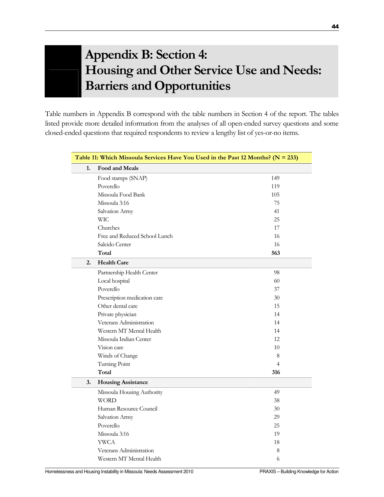# Appendix B: Section 4: Housing and Other Service Use and Needs: Barriers and Opportunities

Table numbers in Appendix B correspond with the table numbers in Section 4 of the report. The tables listed provide more detailed information from the analyses of all open-ended survey questions and some closed-ended questions that required respondents to review a lengthy list of yes-or-no items.

| Table 11: Which Missoula Services Have You Used in the Past 12 Months? ( $N = 233$ ) |                               |                |
|--------------------------------------------------------------------------------------|-------------------------------|----------------|
| 1.                                                                                   | Food and Meals                |                |
|                                                                                      | Food stamps (SNAP)            | 149            |
|                                                                                      | Poverello                     | 119            |
|                                                                                      | Missoula Food Bank            | 105            |
|                                                                                      | Missoula 3:16                 | 75             |
|                                                                                      | Salvation Army                | 41             |
|                                                                                      | <b>WIC</b>                    | 25             |
|                                                                                      | Churches                      | 17             |
|                                                                                      | Free and Reduced School Lunch | 16             |
|                                                                                      | Salcido Center                | 16             |
|                                                                                      | Total                         | 563            |
| 2.                                                                                   | <b>Health Care</b>            |                |
|                                                                                      | Partnership Health Center     | 98             |
|                                                                                      | Local hospital                | 60             |
|                                                                                      | Poverello                     | 37             |
|                                                                                      | Prescription medication care  | 30             |
|                                                                                      | Other dental care             | 15             |
|                                                                                      | Private physician             | 14             |
|                                                                                      | Veterans Administration       | 14             |
|                                                                                      | Western MT Mental Health      | 14             |
|                                                                                      | Missoula Indian Center        | 12             |
|                                                                                      | Vision care                   | 10             |
|                                                                                      | Winds of Change               | 8              |
|                                                                                      | Turning Point                 | $\overline{4}$ |
|                                                                                      | Total                         | 316            |
| 3.                                                                                   | <b>Housing Assistance</b>     |                |
|                                                                                      | Missoula Housing Authority    | 49             |
|                                                                                      | <b>WORD</b>                   | 38             |
|                                                                                      | Human Resource Council        | 30             |
|                                                                                      | Salvation Army                | 29             |
|                                                                                      | Poverello                     | 25             |
|                                                                                      | Missoula 3:16                 | 19             |
|                                                                                      | <b>YWCA</b>                   | 18             |
|                                                                                      | Veterans Administration       | 8              |
|                                                                                      | Western MT Mental Health      | 6              |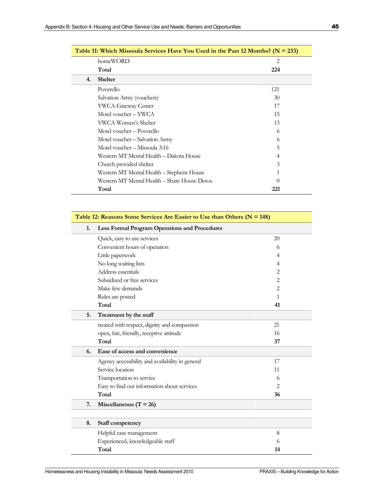| Table 11: Which Missoula Services Have You Used in the Past 12 Months? ( $N = 233$ ) |                                              |     |  |
|--------------------------------------------------------------------------------------|----------------------------------------------|-----|--|
|                                                                                      | homeWORD                                     | 2   |  |
|                                                                                      | Total                                        | 224 |  |
| 4.                                                                                   | <b>Shelter</b>                               |     |  |
|                                                                                      | Poverello                                    | 121 |  |
|                                                                                      | Salvation Army (vouchers)                    | 30  |  |
|                                                                                      | <b>YWCA Gateway Center</b>                   | 17  |  |
|                                                                                      | Motel voucher – YWCA                         | 15  |  |
|                                                                                      | YWCA Women's Shelter                         | 13  |  |
|                                                                                      | Motel voucher – Poverello                    | 6   |  |
|                                                                                      | Motel voucher – Salvation Army               | 6   |  |
|                                                                                      | Motel voucher – Missoula 3:16                | 5   |  |
|                                                                                      | Western MT Mental Health – Dakota House      | 4   |  |
|                                                                                      | Church provided shelter                      | 3   |  |
|                                                                                      | Western MT Mental Health – Stephens House    |     |  |
|                                                                                      | Western MT Mental Health – Share House Detox |     |  |
|                                                                                      | Total                                        | 221 |  |

|    | Table 12: Reasons Some Services Are Easier to Use than Others ( $N = 148$ ) |                |  |
|----|-----------------------------------------------------------------------------|----------------|--|
| 1. | <b>Less Formal Program Operations and Procedures</b>                        |                |  |
|    | Quick, easy to use services                                                 | 20             |  |
|    | Convenient hours of operation                                               | 6              |  |
|    | Little paperwork                                                            | 4              |  |
|    | No long waiting lists                                                       | $\overline{4}$ |  |
|    | Address essentials                                                          | 2              |  |
|    | Subsidized or free services                                                 | $\overline{2}$ |  |
|    | Make few demands                                                            | $\overline{2}$ |  |
|    | Rules are posted                                                            | $\mathbf{1}$   |  |
|    | Total                                                                       | 41             |  |
| 5. | Treatment by the staff                                                      |                |  |
|    | treated with respect, dignity and compassion                                | 21             |  |
|    | open, fair, friendly, receptive attitude                                    | 16             |  |
|    | Total                                                                       | 37             |  |
| 6. | Ease of access and convenience                                              |                |  |
|    | Agency accessibility and availability in general                            | 17             |  |
|    | Service location                                                            | 11             |  |
|    | Transportation to service                                                   | 6              |  |
|    | Easy to find out information about services                                 | $\overline{2}$ |  |
|    | Total                                                                       | 36             |  |
| 7. | Miscellaneous ( $T = 26$ )                                                  |                |  |
|    |                                                                             |                |  |
| 8. | Staff competency                                                            |                |  |
|    | Helpful case management                                                     | 8              |  |
|    | Experienced, knowledgeable staff                                            | 6              |  |
|    | Total                                                                       | 14             |  |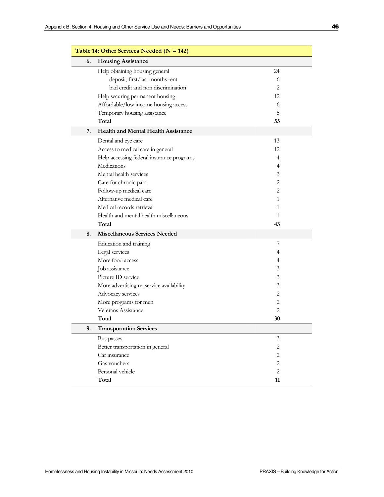| Table 14: Other Services Needed ( $N = 142$ ) |                                            |                |  |
|-----------------------------------------------|--------------------------------------------|----------------|--|
| 6.                                            | <b>Housing Assistance</b>                  |                |  |
|                                               | Help obtaining housing general             | 24             |  |
|                                               | deposit, first/last months rent            | 6              |  |
|                                               | bad credit and non discrimination          | 2              |  |
|                                               | Help securing permanent housing            | 12             |  |
|                                               | Affordable/low income housing access       | 6              |  |
|                                               | Temporary housing assistance               | 5              |  |
|                                               | Total                                      | 55             |  |
| 7.                                            | <b>Health and Mental Health Assistance</b> |                |  |
|                                               | Dental and eye care                        | 13             |  |
|                                               | Access to medical care in general          | 12             |  |
|                                               | Help accessing federal insurance programs  | 4              |  |
|                                               | Medications                                | 4              |  |
|                                               | Mental health services                     | 3              |  |
|                                               | Care for chronic pain                      | 2              |  |
|                                               | Follow-up medical care                     | 2              |  |
|                                               | Alternative medical care                   | 1              |  |
|                                               | Medical records retrieval                  | 1              |  |
|                                               | Health and mental health miscellaneous     | 1              |  |
|                                               | Total                                      | 43             |  |
| 8.                                            | <b>Miscellaneous Services Needed</b>       |                |  |
|                                               | Education and training                     | 7              |  |
|                                               | Legal services                             | 4              |  |
|                                               | More food access                           | 4              |  |
|                                               | Job assistance                             | 3              |  |
|                                               | Picture ID service                         | 3              |  |
|                                               | More advertising re: service availability  | 3              |  |
|                                               | Advocacy services                          | $\overline{c}$ |  |
|                                               | More programs for men                      | 2              |  |
|                                               | Veterans Assistance                        | $\overline{2}$ |  |
|                                               | Total                                      | 30             |  |
| 9.                                            | <b>Transportation Services</b>             |                |  |
|                                               | Bus passes                                 | 3              |  |
|                                               | Better transportation in general           | $\mathbf{2}$   |  |
|                                               | Car insurance                              | $\mathbf{2}$   |  |
|                                               | Gas vouchers                               | $\overline{c}$ |  |
|                                               | Personal vehicle                           | $\overline{c}$ |  |
|                                               | Total                                      | 11             |  |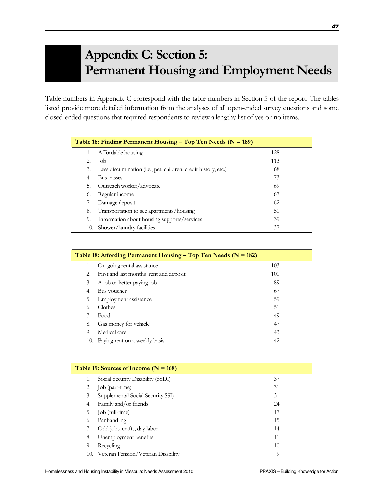# Appendix C: Section 5: Permanent Housing and Employment Needs

Table numbers in Appendix C correspond with the table numbers in Section 5 of the report. The tables listed provide more detailed information from the analyses of all open-ended survey questions and some closed-ended questions that required respondents to review a lengthy list of yes-or-no items.

| Table 16: Finding Permanent Housing – Top Ten Needs ( $N = 189$ ) |                                                                 |     |  |  |
|-------------------------------------------------------------------|-----------------------------------------------------------------|-----|--|--|
| 1.                                                                | Affordable housing                                              | 128 |  |  |
| 2.                                                                | Job                                                             | 113 |  |  |
| 3.                                                                | Less discrimination (i.e., pet, children, credit history, etc.) | 68  |  |  |
| 4.                                                                | Bus passes                                                      | 73  |  |  |
| 5.                                                                | Outreach worker/advocate                                        | 69  |  |  |
| 6.                                                                | Regular income                                                  | 67  |  |  |
| 7.                                                                | Damage deposit                                                  | 62  |  |  |
| 8.                                                                | Transportation to see apartments/housing                        | 50  |  |  |
| 9.                                                                | Information about housing supports/services                     | 39  |  |  |
| 10.                                                               | Shower/laundry facilities                                       | 37  |  |  |

| Table 18: Affording Permanent Housing – Top Ten Needs ( $N = 182$ ) |                                         |     |  |  |
|---------------------------------------------------------------------|-----------------------------------------|-----|--|--|
| 1.                                                                  | On-going rental assistance              | 103 |  |  |
| 2.                                                                  | First and last months' rent and deposit | 100 |  |  |
| 3.                                                                  | A job or better paying job              | 89  |  |  |
| $\overline{4}$                                                      | Bus voucher                             | 67  |  |  |
| .5.                                                                 | Employment assistance                   | 59  |  |  |
| 6.                                                                  | Clothes                                 | 51  |  |  |
|                                                                     | Food                                    | 49  |  |  |
| 8.                                                                  | Gas money for vehicle                   | 47  |  |  |
| 9.                                                                  | Medical care                            | 43  |  |  |
| 10.                                                                 | Paying rent on a weekly basis           | 42  |  |  |

| Table 19: Sources of Income ( $N = 168$ ) |                                        |    |  |  |
|-------------------------------------------|----------------------------------------|----|--|--|
|                                           | Social Security Disability (SSDI)      | 37 |  |  |
| 2.                                        | Job (part-time)                        | 31 |  |  |
| 3.                                        | Supplemental Social Security SSI)      | 31 |  |  |
| 4.                                        | Family and/or friends                  | 24 |  |  |
| 5.                                        | Job (full-time)                        | 17 |  |  |
| 6.                                        | Panhandling                            | 15 |  |  |
| 7.                                        | Odd jobs, crafts, day labor            | 14 |  |  |
| 8.                                        | Unemployment benefits                  | 11 |  |  |
| 9.                                        | Recycling                              | 10 |  |  |
|                                           | 10. Veteran Pension/Veteran Disability | 9  |  |  |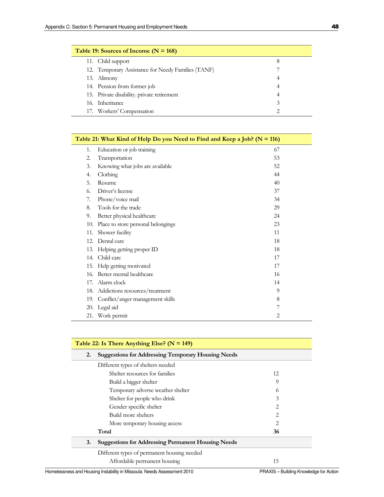| Table 19: Sources of Income ( $N = 168$ ) |                                                    |   |  |
|-------------------------------------------|----------------------------------------------------|---|--|
|                                           | 11. Child support                                  |   |  |
|                                           | 12. Temporary Assistance for Needy Families (TANF) |   |  |
|                                           | 13. Alimony                                        | 4 |  |
|                                           | 14. Pension from former job                        | 4 |  |
|                                           | 15. Private disability. private retirement         |   |  |
|                                           | 16. Inheritance                                    |   |  |
|                                           | 17. Workers' Compensation                          |   |  |

| Table 21: What Kind of Help Do you Need to Find and Keep a Job? ( $N = 116$ ) |                                    |                |  |
|-------------------------------------------------------------------------------|------------------------------------|----------------|--|
| 1.                                                                            | Education or job training          | 67             |  |
| 2.                                                                            | Transportation                     | 53             |  |
| 3.                                                                            | Knowing what jobs are available    | 52             |  |
| 4.                                                                            | Clothing                           | 44             |  |
| 5.                                                                            | Resume                             | 40             |  |
| 6.                                                                            | Driver's license                   | 37             |  |
| 7.                                                                            | Phone/voice mail                   | 34             |  |
| 8.                                                                            | Tools for the trade                | 29             |  |
| 9.                                                                            | Better physical healthcare         | 24             |  |
| 10.                                                                           | Place to store personal belongings | 23             |  |
| 11.                                                                           | Shower facility                    | 11             |  |
| 12.                                                                           | Dental care                        | 18             |  |
| 13.                                                                           | Helping getting proper ID          | 18             |  |
|                                                                               | 14. Child care                     | 17             |  |
| 15.                                                                           | Help getting motivated             | 17             |  |
| 16.                                                                           | Better mental healthcare           | 16             |  |
| 17.                                                                           | Alarm clock                        | 14             |  |
| 18.                                                                           | Addictions resources/treatment     | 9              |  |
| 19.                                                                           | Conflict/anger management skills   | 8              |  |
| 20.                                                                           | Legal aid                          | 7              |  |
| 21.                                                                           | Work permit                        | $\overline{2}$ |  |

| Table 22: Is There Anything Else? ( $N = 149$ ) |                                                           |                |  |
|-------------------------------------------------|-----------------------------------------------------------|----------------|--|
| 2.                                              | <b>Suggestions for Addressing Temporary Housing Needs</b> |                |  |
|                                                 | Different types of shelters needed                        |                |  |
|                                                 | Shelter resources for families                            | 12             |  |
|                                                 | Build a bigger shelter                                    | 9              |  |
|                                                 | Temporary adverse weather shelter                         | 0              |  |
|                                                 | Shelter for people who drink                              | 3              |  |
|                                                 | Gender specific shelter                                   | 2              |  |
|                                                 | Build more shelters                                       | $\mathfrak{D}$ |  |
|                                                 | More temporary housing access                             | 2              |  |
|                                                 | Total                                                     | 36             |  |
| 3.                                              | <b>Suggestions for Addressing Permanent Housing Needs</b> |                |  |
|                                                 | Different types of permanent housing needed               |                |  |
|                                                 | Affordable permanent housing                              | 15             |  |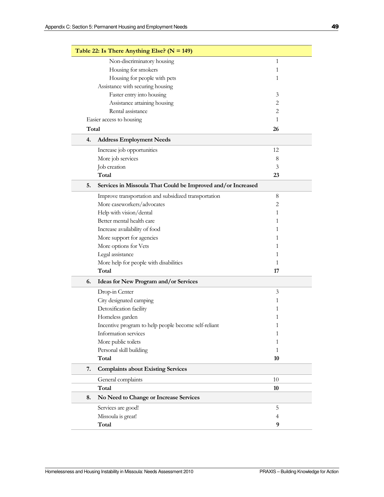|       | Table 22: Is There Anything Else? ( $N = 149$ )              |                |
|-------|--------------------------------------------------------------|----------------|
|       | Non-discriminatory housing                                   | $\mathbf{1}$   |
|       | Housing for smokers                                          | 1              |
|       | Housing for people with pets                                 | 1              |
|       | Assistance with securing housing                             |                |
|       | Faster entry into housing                                    | 3              |
|       | Assistance attaining housing                                 | $\overline{2}$ |
|       | Rental assistance                                            | 2              |
|       | Easier access to housing                                     | 1              |
| Total |                                                              | 26             |
| 4.    | <b>Address Employment Needs</b>                              |                |
|       | Increase job opportunities                                   | 12             |
|       | More job services                                            | 8              |
|       | Job creation                                                 | 3              |
|       | Total                                                        | 23             |
| 5.    | Services in Missoula That Could be Improved and/or Increased |                |
|       | Improve transportation and subsidized transportation         | 8              |
|       | More caseworkers/advocates                                   | $\overline{2}$ |
|       | Help with vision/dental                                      | 1              |
|       | Better mental health care                                    | 1              |
|       | Increase availability of food                                | 1              |
|       | More support for agencies                                    | 1              |
|       | More options for Vets                                        | 1              |
|       | Legal assistance                                             | 1              |
|       | More help for people with disabilities                       | 1              |
|       | Total                                                        | 17             |
| 6.    | Ideas for New Program and/or Services                        |                |
|       | Drop-in Center                                               | 3              |
|       | City designated camping                                      | 1              |
|       | Detoxification facility                                      | 1              |
|       | Homeless garden                                              | 1              |
|       | Incentive program to help people become self-reliant         | 1              |
|       | Information services                                         | 1              |
|       | More public toilets                                          | 1              |
|       | Personal skill building                                      | 1              |
|       | Total                                                        | 10             |
| 7.    | <b>Complaints about Existing Services</b>                    |                |
|       | General complaints                                           | 10             |
|       | Total                                                        | 10             |
| 8.    | No Need to Change or Increase Services                       |                |
|       | Services are good!                                           | 5              |
|       | Missoula is great!                                           | 4              |
|       | Total                                                        | 9              |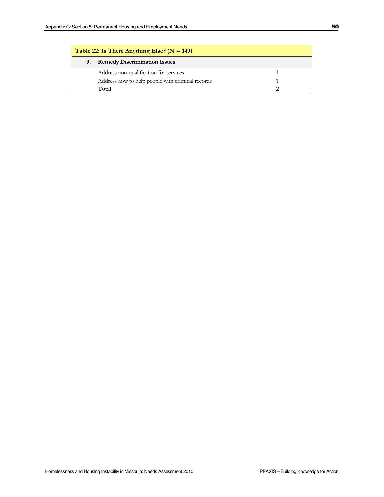| Table 22: Is There Anything Else? ( $N = 149$ ) |                                                  |  |  |
|-------------------------------------------------|--------------------------------------------------|--|--|
| 9.                                              | <b>Remedy Discrimination Issues</b>              |  |  |
|                                                 | Address non-qualification for services           |  |  |
|                                                 | Address how to help people with criminal records |  |  |
|                                                 | Total                                            |  |  |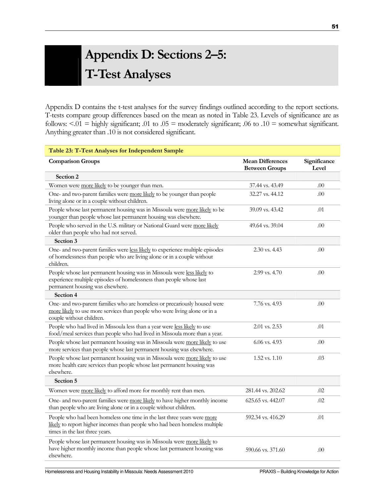# Appendix D: Sections 2–5: T-Test Analyses

Appendix D contains the t-test analyses for the survey findings outlined according to the report sections. T-tests compare group differences based on the mean as noted in Table 23. Levels of significance are as follows:  $\leq 0.01$  = highly significant; .01 to .05 = moderately significant; .06 to .10 = somewhat significant. Anything greater than .10 is not considered significant.

| Table 23: T-Test Analyses for Independent Sample                                                                                                                                        |                                                  |                       |
|-----------------------------------------------------------------------------------------------------------------------------------------------------------------------------------------|--------------------------------------------------|-----------------------|
| <b>Comparison Groups</b>                                                                                                                                                                | <b>Mean Differences</b><br><b>Between Groups</b> | Significance<br>Level |
| Section 2                                                                                                                                                                               |                                                  |                       |
| Women were more likely to be younger than men.                                                                                                                                          | 37.44 vs. 43.49                                  | .00                   |
| One- and two-parent families were more likely to be younger than people<br>living alone or in a couple without children.                                                                | 32.27 vs. 44.12                                  | .00                   |
| People whose last permanent housing was in Missoula were more likely to be<br>younger than people whose last permanent housing was elsewhere.                                           | 39.09 vs. 43.42                                  | .01                   |
| People who served in the U.S. military or National Guard were more likely<br>older than people who had not served.                                                                      | 49.64 vs. 39.04                                  | .00                   |
| Section 3                                                                                                                                                                               |                                                  |                       |
| One- and two-parent families were less likely to experience multiple episodes<br>of homelessness than people who are living alone or in a couple without<br>children.                   | $2.30$ vs. $4.43$                                | .00                   |
| People whose last permanent housing was in Missoula were less likely to<br>experience multiple episodes of homelessness than people whose last<br>permanent housing was elsewhere.      | 2.99 vs. 4.70                                    | .00                   |
| Section 4                                                                                                                                                                               |                                                  |                       |
| One- and two-parent families who are homeless or precariously housed were<br>more likely to use more services than people who were living alone or in a<br>couple without children.     | 7.76 vs. 4.93                                    | .00                   |
| People who had lived in Missoula less than a year were less likely to use<br>food/meal services than people who had lived in Missoula more than a year.                                 | 2.01 vs. 2.53                                    | .01                   |
| People whose last permanent housing was in Missoula were more likely to use<br>more services than people whose last permanent housing was elsewhere.                                    | $6.06$ vs. $4.93$                                | .00                   |
| People whose last permanent housing was in Missoula were more likely to use<br>more health care services than people whose last permanent housing was<br>elsewhere.                     | $1.52$ vs. $1.10$                                | .03                   |
| Section 5                                                                                                                                                                               |                                                  |                       |
| Women were more likely to afford more for monthly rent than men.                                                                                                                        | 281.44 vs. 202.62                                | .02                   |
| One- and two-parent families were more likely to have higher monthly income<br>than people who are living alone or in a couple without children.                                        | 625.65 vs. 442.07                                | .02                   |
| People who had been homeless one time in the last three years were more<br>likely to report higher incomes than people who had been homeless multiple<br>times in the last three years. | 592.34 vs. 416.29                                | .01                   |
| People whose last permanent housing was in Missoula were more likely to<br>have higher monthly income than people whose last permanent housing was<br>elsewhere.                        | 590.66 vs. 371.60                                | .00                   |